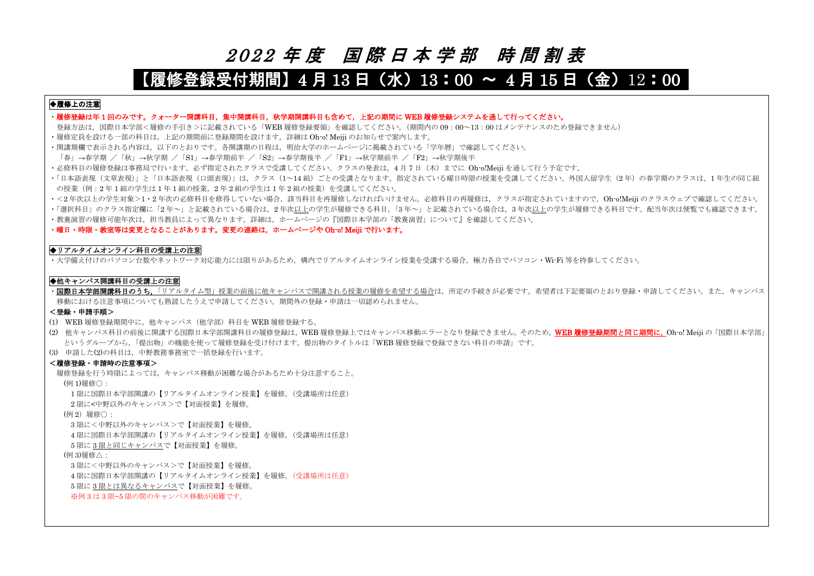# <sup>2</sup> <sup>0</sup> <sup>2</sup> <sup>2</sup> 年 度 国 際 日 本 学 部 時 間 割 表

## 【履修登録受付期間】4 月 13 日(水)13:00 ~ 4 月 15 日(金)12:00

## ◆履修上の注意

- ・履修登録は年 1 回のみです。クォーター開講科目,集中開講科目,秋学期開講科目も含めて,上記の期間に WEB 履修登録システムを通して行ってください。
- 登録方法は、国際日本学部<履修の手引き>に記載されている「WEB 履修登録要領」を確認してください。(期間内の 09:00~13:00 はメンテナンスのため登録できません) ・履修定員を設ける一部の科目は,上記の期間前に登録期間を設けます。詳細は Oh-o! Meiji のお知らせで案内します。
- ・開講期欄で表示される内容は,以下のとおりです。各開講期の日程は,明治大学のホームページに掲載されている「学年暦」で確認してください。
- 「春」→春学期 /「秋」→秋学期 /「S1」→春学期前半 /「S2」→春学期後半 /「F1」→秋学期前半 /「F2」→秋学期後半
- ・必修科目の履修登録は事務局で行います。必ず指定されたクラスで受講してください。クラスの発表は、4月7日 (木)までに Oh-o!Meiji を通して行う予定です。
- ・「日本語表現(文章表現)」と「日本語表現(口頭表現)」は,クラス(1~14 組)ごとの受講となります。指定されている曜日時限の授業を受講してください。外国人留学生(2 年)の春学期のクラスは,1 年生の同じ組 の授業(例:2年1組の学生は1年1組の授業,2年2組の学生は1年2組の授業)を受講してください。
- · <2年次以上の学生対象>1·2年次の必修科目を修得していない場合, 該当科目を再履修しなければいけません。必修科目の再履修は, クラスが指定されていますので, Oh-o!Meiji のクラスウェブで確認してください。
- ・「選択科目」のクラス指定欄に「2 年~」と記載されている場合は,2 年次以上の学生が履修できる科目,「3 年~」と記載されている場合は,3 年次以上の学生が履修できる科目です。配当年次は便覧でも確認できます。
- ・教養演習の履修可能年次は、担当教員によって異なります。詳細は、ホームページの『国際日本学部の「教養演習」について』を確認してください。

·国際日本学部開講科目のうち,「リアルタイム型」授業の前後に他キャンパスで開講される授業の履修を希望する場合は,所定の手続きが必要です。希望者は下記要領のとおり登録·申請してください。また, キャンパス 移動における注意事項についても熟読したうえで申請してください。期間外の登録・申請は一切認められません。

・曜日・時限・教室等は変更となることがあります。変更の連絡は,ホームページや Oh-o! Meiji で行います。

#### ◆リアルタイムオンライン科目の受講上の注意

・大学備え付けのパソコン台数やネットワーク対応能力には限りがあるため、構内でリアルタイムオンライン授業を受講する場合、極力各自でパソコン・Wi-Fi 等を持参してください。

#### ◆他キャンパス開講科目の受講上の注意

#### <登録・申請手順>

- (1) WEB 履修登録期間中に,他キャンパス(他学部)科目を WEB 履修登録する。
- (2) 他キャンパス科目の前後に開講する国際日本学部開講科目の履修登録は、WEB 履修登録上ではキャンパス移動エラーとなり登録できません。そのため、WEB 履修登録期間と同じ期間に、Oh-o! Meiji の「国際日本学部」 というグループから,「提出物」の機能を使って履修登録を受け付けます。提出物のタイトルは「WEB 履修登録で登録できない科目の申請」です。
- (3) 申請した(2)の科目は,中野教務事務室で一括登録を行います。

#### <履修登録・申請時の注意事項>

履修登録を行う時限によっては,キャンパス移動が困難な場合があるため十分注意すること。

(例 1)履修○:

1 限に国際日本学部開講の【リアルタイムオンライン授業】を履修。(受講場所は任意)

2 限に<中野以外のキャンパス>で【対面授業】を履修。

(例 2) 履修○:

3 限に<中野以外のキャンパス>で【対面授業】を履修。

4 限に国際日本学部開講の【リアルタイムオンライン授業】を履修。(受講場所は任意)

5 限に 3 限と同じキャンパスで【対面授業】を履修。

#### (例 3)履修△:

3 限に<中野以外のキャンパス>で【対面授業】を履修。

4 限に国際日本学部開講の【リアルタイムオンライン授業】を履修。(受講場所は任意)

5 限に 3 限とは異なるキャンパスで【対面授業】を履修。

※例 3 は 3 限~5 限の間のキャンパス移動が困難です。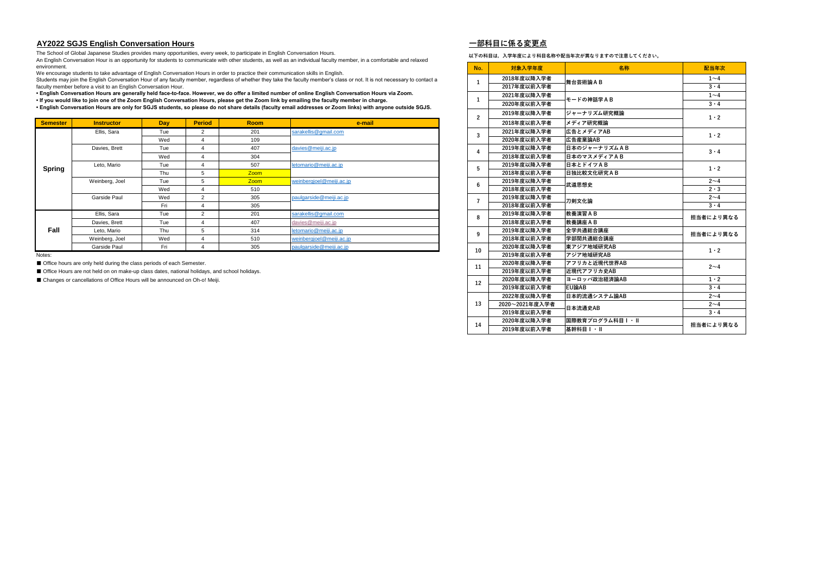#### **AY2022 SGJS English Conversation Hours 一部科目に係る変更点**

**以下の科目は,入学年度により科目名称や配当年次が異なりますので注意してください。**

| Semester      | <b>Instructor</b> | <b>Day</b> | <b>Period</b> | <b>Room</b> | e-mail                   |    | 2018年度以前入学者 | メディア研究概論          | $1 \cdot 2$ |
|---------------|-------------------|------------|---------------|-------------|--------------------------|----|-------------|-------------------|-------------|
|               | Ellis, Sara       | Tue        |               | 201         | sarakellis@gmail.com     |    | 2021年度以降入学者 | 広告とメディアAB         | $1 \cdot 2$ |
|               |                   | Wed        |               | 109         |                          |    | 2020年度以前入学者 | <b> 広告産業論AB</b>   |             |
|               | Davies, Brett     | Tue        |               | 407         | davies@meiji.ac.jp       |    | 2019年度以降入学者 | 日本のジャーナリズムAB      | $3 \cdot 4$ |
|               |                   | Wed        |               | 304         |                          |    | 2018年度以前入学者 | 日本のマスメディアAB       |             |
|               | Leto, Mario       | Tue        |               | 507         | letomario@meiji.ac.jp    |    | 2019年度以降入学者 | 日本とドイツAB          | $1 \cdot 2$ |
| <b>Spring</b> |                   | Thu        |               | <b>Zoom</b> |                          |    | 2018年度以前入学者 | <b>日独比較文化研究AB</b> |             |
|               | Weinberg, Joel    | Tue        | .5            | <b>Zoom</b> | weinbergioel@meiji.ac.jp |    | 2019年度以降入学者 | 武道思想史             | $2 - 4$     |
|               |                   | Wed        |               | 510         |                          | n  | 2018年度以前入学者 |                   | $2 \cdot 3$ |
|               | Garside Paul      | Wed        | 2             | 305         | paulgarside@meiji.ac.jp  |    | 2019年度以降入学者 | 刀剣文化論             | $2 - 4$     |
|               |                   | Fri        |               | 305         |                          |    | 2018年度以前入学者 |                   | $3 \cdot 4$ |
|               | Ellis, Sara       | Tue        |               | 201         | sarakellis@gmail.com     |    | 2019年度以降入学者 | 教養演習AB            | 担当者により      |
|               | Davies, Brett     | Tue        |               | 407         | davies@meiji.ac.jp       |    | 2018年度以前入学者 | 教養講座AB            |             |
| Fall          | Leto, Mario       | Thu        |               | 314         | letomario@meiji.ac.jp    |    | 2019年度以降入学者 | 全学共通総合講座          | 担当者により      |
|               | Weinberg, Joel    | Wed        |               | 510         | weinbergjoel@meiji.ac.jp |    | 2018年度以前入学者 | 学部間共通総合講座         |             |
|               | Garside Paul      | Fri        |               | 305         | paulgarside@meiji.ac.jp  | 10 | 2020年度以降入学者 | 東アジア地域研究AB        | $1 \cdot 2$ |
|               |                   |            |               |             |                          |    |             |                   |             |

| environment.    |                                                                                              |     |                |             | An English Conversation Hour is an opportunity for students to communicate with other students, as well as an individual faculty member, in a comfortable and relaxed      | No.            | 対象入学年度         | 名称                | 配当年次        |
|-----------------|----------------------------------------------------------------------------------------------|-----|----------------|-------------|----------------------------------------------------------------------------------------------------------------------------------------------------------------------------|----------------|----------------|-------------------|-------------|
|                 |                                                                                              |     |                |             | We encourage students to take advantage of English Conversation Hours in order to practice their communication skills in English.                                          |                | 2018年度以降入学者    |                   | $1\sim4$    |
|                 | faculty member before a visit to an English Conversation Hour.                               |     |                |             | Students may join the English Conversation Hour of any faculty member, regardless of whether they take the faculty member's class or not. It is not necessary to contact a | 1              | 2017年度以前入学者    | 舞台芸術論AB           | $3 \cdot 4$ |
|                 |                                                                                              |     |                |             | English Conversation Hours are generally held face-to-face. However, we do offer a limited number of online English Conversation Hours via Zoom.                           |                | 2021年度以降入学者    |                   | $1\sim4$    |
|                 |                                                                                              |     |                |             | . If you would like to join one of the Zoom English Conversation Hours, please get the Zoom link by emailing the faculty member in charge.                                 | 1              |                | モードの神話学AB         | $3 \cdot 4$ |
|                 |                                                                                              |     |                |             | English Conversation Hours are only for SGJS students, so please do not share details (faculty email addresses or Zoom links) with anyone outside SGJS.                    |                | 2020年度以前入学者    |                   |             |
|                 |                                                                                              |     |                |             |                                                                                                                                                                            | $\overline{2}$ | 2019年度以降入学者    | ジャーナリズム研究概論       | $1 \cdot 2$ |
| <b>Semester</b> | <b>Instructor</b>                                                                            | Day | <b>Period</b>  | <b>Room</b> | e-mail                                                                                                                                                                     |                | 2018年度以前入学者    | メディア研究概論          |             |
|                 | Ellis, Sara                                                                                  | Tue | 2              | 201         | sarakellis@gmail.com                                                                                                                                                       | $\mathbf{3}$   | 2021年度以降入学者    | 広告とメディアAB         | $1 \cdot 2$ |
|                 |                                                                                              | Wed | $\Delta$       | 109         |                                                                                                                                                                            |                | 2020年度以前入学者    | 広告産業論AB           |             |
|                 | Davies, Brett                                                                                | Tue |                | 407         | davies@meiji.ac.jp                                                                                                                                                         | 4              | 2019年度以降入学者    | 日本のジャーナリズムAB      | $3 \cdot 4$ |
|                 |                                                                                              | Wed |                | 304         |                                                                                                                                                                            |                | 2018年度以前入学者    | 日本のマスメディアAB       |             |
| <b>Spring</b>   | Leto, Mario                                                                                  | Tue |                | 507         | letomario@meiji.ac.jp                                                                                                                                                      | 5              | 2019年度以降入学者    | 日本とドイツAB          | $1 \cdot 2$ |
|                 |                                                                                              | Thu | 5              | <b>Zoom</b> |                                                                                                                                                                            |                | 2018年度以前入学者    | <b>日独比較文化研究AB</b> |             |
|                 | Weinberg, Joel                                                                               | Tue | 5              | <b>Zoom</b> | weinbergioel@meiji.ac.jp                                                                                                                                                   | 6              | 2019年度以降入学者    | 武道思想史             | $2 - 4$     |
|                 |                                                                                              | Wed |                | 510         |                                                                                                                                                                            |                | 2018年度以前入学者    |                   | $2 \cdot 3$ |
|                 | <b>Garside Paul</b>                                                                          | Wed | $\overline{2}$ | 305         | paulgarside@meiji.ac.jp                                                                                                                                                    | $\overline{7}$ | 2019年度以降入学者    | 刀剣文化論             | $2 - 4$     |
|                 |                                                                                              | Fri | $\Lambda$      | 305         |                                                                                                                                                                            |                | 2018年度以前入学者    |                   | $3 \cdot 4$ |
|                 | Ellis, Sara                                                                                  | Tue | $\overline{2}$ | 201         | sarakellis@gmail.com                                                                                                                                                       | 8              | 2019年度以降入学者    | 教養演習AB            | 担当者により異なる   |
|                 | Davies, Brett                                                                                | Tue |                | 407         | davies@meiji.ac.jp                                                                                                                                                         |                | 2018年度以前入学者    | 教養講座AB            |             |
| Fall            | Leto. Mario                                                                                  | Thu | 5              | 314         | letomario@meiii.ac.ip                                                                                                                                                      | 9              | 2019年度以降入学者    | 全学共通総合講座          | 担当者により異なる   |
|                 | Weinberg, Joel                                                                               | Wed |                | 510         | weinbergioel@meiji.ac.jp                                                                                                                                                   |                | 2018年度以前入学者    | 学部間共通総合講座         |             |
|                 | Garside Paul                                                                                 | Fri |                | 305         | paulgarside@meiji.ac.jp                                                                                                                                                    | 10             | 2020年度以降入学者    | 東アジア地域研究AB        | $1 \cdot 2$ |
| Notes:          |                                                                                              |     |                |             |                                                                                                                                                                            |                | 2019年度以前入学者    | アジア地域研究AB         |             |
|                 | Office hours are only held during the class periods of each Semester.                        |     |                |             |                                                                                                                                                                            | 11             | 2020年度以降入学者    | アフリカと近現代世界AB      | $2 \sim 4$  |
|                 | Office Hours are not held on on make-up class dates, national holidays, and school holidays. |     |                |             |                                                                                                                                                                            |                | 2019年度以前入学者    | 近現代アフリカ史AB        |             |
|                 | ■ Changes or cancellations of Office Hours will be announced on Oh-o! Meiji.                 |     |                |             |                                                                                                                                                                            | 12             | 2020年度以降入学者    | ヨーロッパ政治経済論AB      | $1 \cdot 2$ |
|                 |                                                                                              |     |                |             |                                                                                                                                                                            |                | 2019年度以前入学者    | <b>EU論AB</b>      | $3 \cdot 4$ |
|                 |                                                                                              |     |                |             |                                                                                                                                                                            |                | 2022年度以降入学者    | 日本的流通システム論AB      | $2 - 4$     |
|                 |                                                                                              |     |                |             |                                                                                                                                                                            | 13             | 2020~2021年度入学者 | 日本流通史AB           | $2 - 4$     |
|                 |                                                                                              |     |                |             |                                                                                                                                                                            |                | 2019年度以前入学者    |                   | $3 \cdot 4$ |
|                 |                                                                                              |     |                |             |                                                                                                                                                                            | 14             | 2020年度以降入学者    | 国際教育プログラム科目Ⅰ・Ⅱ    | 担当者により異なる   |
|                 |                                                                                              |     |                |             |                                                                                                                                                                            |                | 2019年度以前入学者    | 基幹科目I·II          |             |
|                 |                                                                                              |     |                |             |                                                                                                                                                                            |                |                |                   |             |

The School of Global Japanese Studies provides many opportunities, every week, to participate in English Conversation Hours.

An English Conversation Hour is an opportunity for students to communicate with other students, as well as an individual faculty member, in a comfortable and relaxed environment.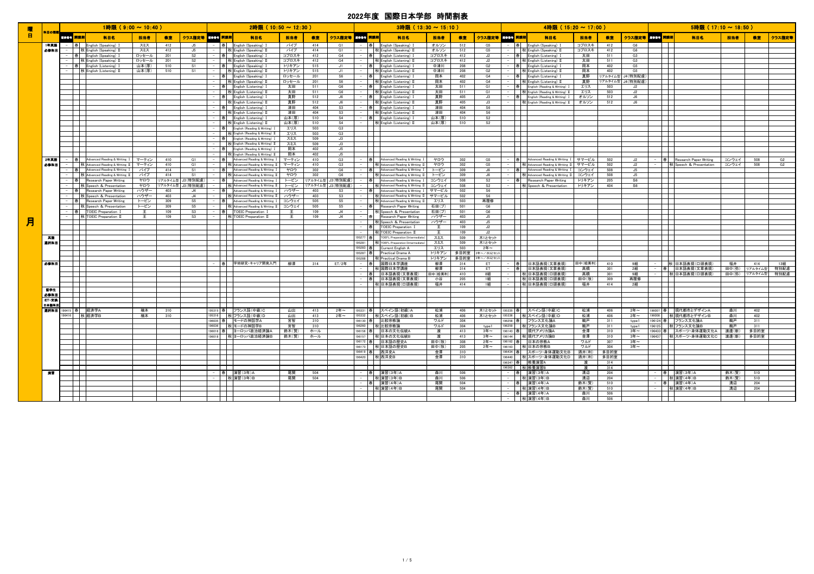|    |              |          | 1時限 (9:00~10:40)                                                             |              |            |                      | 2時限 (10:50~12:30)                                                         |              |            |                      |   | 3時限 (13:30~15:10)                                                                     |               |            |                     |                              |                             | 4時限 (15:20~17:00)                                                             |                |              |                     |              | 5時限 (17:10~18:50)                                       |               |            |        |
|----|--------------|----------|------------------------------------------------------------------------------|--------------|------------|----------------------|---------------------------------------------------------------------------|--------------|------------|----------------------|---|---------------------------------------------------------------------------------------|---------------|------------|---------------------|------------------------------|-----------------------------|-------------------------------------------------------------------------------|----------------|--------------|---------------------|--------------|---------------------------------------------------------|---------------|------------|--------|
| 曜日 | 私目の話         | 風俗香子 開講期 | 科目名                                                                          | 担当者          | 教室         | クラス指定等 黒蜂子 開講期       | 科目名                                                                       | 担当者          | 教室         | クラス指定等 風惨骨子 開講期      |   | 科目名                                                                                   | 担当者           | 教室         | クラス指定等 取締者 開講期      |                              |                             | 科目名                                                                           | 担当者            | 教室           | クラス指定等 風俗番号 開講期     |              | 科目名                                                     | 担当者           | 教室         | クラス指定等 |
|    | 1年英語         |          | - 春 English (Speaking) 1                                                     | スミス          | 412        | J5                   | -  春   English (Speaking) I                                               | パイプ          | 414        | G1                   |   | 春 English (Speaking) I                                                                | オルソン          | 512        | G5                  |                              | -  春   English (Speaking) I |                                                                               | コプロスキ          | 412          | G6                  |              |                                                         |               |            |        |
|    | 必修科目         |          | - 秋 English (Speaking) II<br>-  春   English (Speaking) I                     | スミス<br>ロッセール | 412<br>201 | J5<br>S <sub>2</sub> | 秋 English (Speaking) II<br>春 English (Speaking) I                         | パイプ<br>コプロスキ | 414<br>412 | G1<br>G4             |   | 秋 English (Speaking) II<br>- 春 English (Listening) I                                  | オルソン<br>コプロスキ | 512<br>412 | G5<br>J2            |                              |                             | 秋 English (Speaking) II<br>-  春   English (Listening) I                       | コプロスキ<br>太田    | 412<br>511   | G6<br>G3            | - L          |                                                         |               |            |        |
|    |              |          | 秋 English (Speaking) II                                                      | ロッセール        | 201        | S <sub>2</sub>       | 秋 English (Speaking) II                                                   | コプロスキ        | 412        | G4                   |   | 秋 English (Listening) II                                                              | コプロスキ         | 412        | J2                  |                              |                             | - 秋 English (Listening) II                                                    | 太田             | 511          | G3                  | $\Box$       |                                                         |               |            |        |
|    |              |          | - 春 English (Listening) I                                                    | 山本(厚)        | 510        | S1                   | - 春 English (Speaking) I                                                  | トリキアン        | 515        | J1                   |   | - 春 English (Listening) I                                                             | 中津川           | 208        | G2                  |                              |                             | - 春 English (Listening) I                                                     | 岡本             | 402          | G5                  |              |                                                         |               |            |        |
|    |              |          | 秋 English (Listening) II                                                     | 山本(厚)        | 510        | S1                   | - 秋 English (Speaking) II                                                 | トリキアン        | 515        | J1                   |   | - 秋 English (Listening) II                                                            | 中津川           | 208        | G2                  |                              |                             | - 秋 English (Listening) II                                                    | 岡本             | 402          | G5                  | ┯            |                                                         |               |            |        |
|    |              |          |                                                                              |              |            |                      | 春 English (Speaking) I                                                    | ロッセール        | 201        | S6                   |   | 春 English (Listening) I                                                               | 岡本            | 402        | G4                  |                              |                             | - 春 English (Listening) I                                                     | 真野             | リアルタイム型      | J4(特別配慮             |              |                                                         |               |            |        |
|    |              |          |                                                                              |              |            |                      | 秋 English (Speaking) II                                                   | ロッセール        | 201        | S <sub>6</sub>       |   | 秋 English (Listening) II                                                              | 岡本            | 402        | G4                  |                              |                             | 秋 English (Listening) II                                                      | 真野             | リアルタイム型      | J4(特別配慮             |              |                                                         |               |            |        |
|    |              |          |                                                                              |              |            |                      | 春 English (Listening) I<br>秋 English (Listening) II                       | 太田<br>太田     | 511<br>511 | G6<br>G6             |   | 春 English (Listening) I<br>秋 English (Listening) II                                   | 太田<br>太田      | 511<br>511 | G1<br>G1            |                              |                             | 春 English (Reading & Writing) I<br>秋 English (Reading & Writing) II           | エリス<br>エリス     | 503<br>503   | J2<br>J2            |              |                                                         |               |            |        |
|    |              |          |                                                                              |              |            |                      | 春 English (Listening) I                                                   | 真野           | 512        | J6                   |   | - 春 English (Listening) I                                                             | 真野            | 405        | J3                  |                              |                             | 春 English (Reading & Writing) I                                               | オルソン           | 512          | J6                  |              |                                                         |               |            |        |
|    |              |          |                                                                              |              |            |                      | 秋 English (Listening) II                                                  | 真野           | 512        | J6                   |   | - 秋 English (Listening) II                                                            | 真野            | 405        | J3                  |                              |                             | 秋 English (Reading & Writing) II                                              | オルソン           | 512          | J6                  |              |                                                         |               |            |        |
|    |              |          |                                                                              |              |            |                      | 春 English (Listening) I                                                   | 津田           | 404        | S3                   |   | 春 English (Listening) I                                                               | 津田            | 404        | S6                  | $\mathbf{I}$                 |                             |                                                                               |                |              |                     |              |                                                         |               |            |        |
|    |              |          |                                                                              |              |            |                      | 秋 English (Listening) II                                                  | 津田           | 404        | S3                   |   | 秋 English (Listening) II                                                              | 津田            | 404        | S6                  | $\mathbb{R}$                 |                             |                                                                               |                |              |                     |              |                                                         |               |            |        |
|    |              |          |                                                                              |              |            |                      | 春 English (Listening) I                                                   | 山本(厚)        | 510        | S <sub>4</sub>       |   | 春 English (Listening) I                                                               | 山本(厚)         | 510        | S2                  | $\mathbb{R}$                 |                             |                                                                               |                |              |                     |              |                                                         |               |            |        |
|    |              |          |                                                                              |              |            |                      | 秋 English (Listening) II<br>春 English (Reading & Writing) I               | 山本(厚)<br>エリス | 510<br>503 | S <sub>4</sub><br>G3 |   | - 秋 English (Listening) II<br>$\blacksquare$                                          | 山本(厚)         | 510        | S <sub>2</sub>      | $\mathbb{R}$<br>$\mathbf{I}$ |                             |                                                                               |                |              |                     |              |                                                         |               |            |        |
|    |              |          |                                                                              |              |            |                      | 秋 English (Reading & Writing) II                                          | エリス          | 503        | G3                   |   |                                                                                       |               |            |                     |                              |                             |                                                                               |                |              |                     |              |                                                         |               |            |        |
|    |              |          |                                                                              |              |            |                      | 春 English (Reading & Writing) I                                           | スミス          | 509        | J3                   |   | a kara                                                                                |               |            |                     | $\mathbf{I}$                 |                             |                                                                               |                |              |                     |              |                                                         |               |            |        |
|    |              |          |                                                                              |              |            |                      | 秋 English (Reading & Writing) II                                          | スミス          | 509        | J3                   |   |                                                                                       |               |            |                     | $\mathbf{I}$                 |                             |                                                                               |                |              |                     |              |                                                         |               |            |        |
|    |              |          |                                                                              |              |            |                      | 春 English (Reading & Writing) I                                           | 岡本           | 402        | J5                   |   | $\blacksquare$                                                                        |               |            |                     | $\mathbf{I}$                 |                             |                                                                               |                |              |                     |              |                                                         |               |            |        |
|    |              |          |                                                                              |              |            |                      | 秋 English (Reading & Writing) II                                          | 圖本           | 402        | $.15 -$              |   |                                                                                       |               |            |                     | $\overline{\phantom{a}}$     |                             |                                                                               |                |              |                     |              |                                                         |               |            |        |
|    | 2年基語<br>必修科目 |          | 春 Advanced Reading & Writing I マーティン                                         |              | 410        | G1                   | - 春 Advanced Reading & Writing I マーティン                                    |              | 410        | G3                   |   | 春 Advanced Reading & Writing I<br>- 秋 Advanced Reading & Writing II                   | ヤロウ           | 302        | G5                  |                              |                             | 春 Advanced Reading & Writing I サマービル                                          |                | 502          | J2                  |              | 春 Research Paper Writing<br>-   秋 Speech & Presentation | コンウェイ         | 508        | G2     |
|    |              |          | -   秋 Advanced Reading & Writing Ⅱ マーティン<br>- 春 Advanced Reading & Writing I | パイプ          | 410<br>414 | G1<br>S1             | 秋 Advanced Reading & Writing II   マーティン<br>春 Advanced Reading & Writing I | ヤロウ          | 410<br>302 | G3<br>G6             |   | - 春 Advanced Reading & Writing I                                                      | ヤロウ<br>トービン   | 302<br>309 | G5<br>$\mathsf{J6}$ |                              |                             | 秋 Advanced Reading & Writing II サマービル<br>春 Advanced Reading & Writing I コンウェイ |                | 502<br>508   | J2<br>J5            |              |                                                         | コンウェイ         | 508        | G2     |
|    |              |          | 秋 Advanced Reading & Writing II                                              | パイプ          | 414        | S1                   | 秋 Advanced Reading & Writing II                                           | ヤロウ          | 302        | G6                   |   | -   秋 Advanced Reading & Writing II トービン                                              |               | 309        | J6                  |                              |                             | 秋 Advanced Reading & Writing Ⅱ コンウェイ                                          |                | 508          | J5                  |              |                                                         |               |            |        |
|    |              |          | 春 Research Paper Writing                                                     | ヤロウ          | アルタイム型     | J3 (特別配慮)            | - 春 Advanced Reading & Writing I                                          | トービン         | アルタイム型     | J3(特別配慮)             |   | - 春 Advanced Reading & Writing I コンウェイ                                                |               | 508        | S <sub>2</sub>      |                              |                             | 春  Research Paper Writing                                                     | トリキアン          | 205          | S6                  |              |                                                         |               |            |        |
|    |              |          | 秋 Speech & Presentation                                                      | ヤロウ          | アルタイム型     | 3(特別配慮)              | 秋 Advanced Reading & Writing II                                           | トービン         | アルタイム型     | J3(特別配慮)             |   | 秋 Advanced Reading & Writing II                                                       | コンウェイ         | 508        | S <sub>2</sub>      |                              |                             | 秋 Speech & Presentation                                                       | トリキアン          | 404          | S6                  |              |                                                         |               |            |        |
|    |              |          | Research Paper Writing<br>春                                                  | ハウザー         | 403        | J4                   | 春 Advanced Reading & Writing I                                            | ハウザー         | 403        | S3                   |   | 春 Advanced Reading & Writing I                                                        | サマービル         | 502        | S6                  |                              |                             |                                                                               |                |              |                     |              |                                                         |               |            |        |
|    |              |          | 秋 Speech & Presentation                                                      | ハウザー         | 403        | J4                   | 秋 Advanced Reading & Writing II                                           | ハウザー         | 403        | S3                   |   | 秋 Advanced Reading & Writing II                                                       | サマービル         | 502        | S6                  |                              |                             |                                                                               |                |              |                     |              |                                                         |               |            |        |
|    |              |          | 春 Research Paper Writing<br>秋 Speech & Presentation                          | トービン         | 309<br>309 | S <sub>5</sub>       | - 春 Advanced Reading & Writing I<br>秋 Advanced Reading & Writing II コンウェイ | コンウェイ        | 505<br>505 | S <sub>5</sub><br>S5 |   | 秋 Advanced Reading & Writing II<br>- 春 Research Paper Writing                         | エリス<br>石田(プ)  | 503<br>501 | 再履修<br>G6           |                              |                             |                                                                               |                |              |                     |              |                                                         |               |            |        |
|    |              |          | 春 TOEIC Preparation I                                                        | トービン<br>王    | 109        | S5<br>S3             | 春   TOEIC Preparation I                                                   | 王            | 109        | J4                   |   | 秋 Speech & Presentation                                                               | 石田(プ)         | 501        | G6                  | $\mathbb{R}$<br>$\mathbf{1}$ |                             |                                                                               |                |              |                     |              |                                                         |               |            |        |
|    |              |          | 秋 TOEIC Preparation II                                                       |              | 109        | S3                   | 秋 TOEIC Preparation II                                                    | ·∓           | 109        | J <sub>4</sub>       | 春 | Research Paper Writing                                                                | ハウザー          | 403        | J5                  | $\mathbf{I}$                 |                             |                                                                               |                |              |                     |              |                                                         |               |            |        |
| 月  |              |          |                                                                              |              |            |                      |                                                                           |              |            |                      |   | 秋 Speech & Presentation                                                               | ハウザー          | 403        | J5                  | $\mathbb{R}$                 |                             |                                                                               |                |              |                     |              |                                                         |               |            |        |
|    |              |          |                                                                              |              |            |                      |                                                                           |              |            |                      |   | 春 TOEIC Preparation I                                                                 | 王             | 109        | J2                  | $\mathbf{I}$                 |                             |                                                                               |                |              |                     |              |                                                         |               |            |        |
|    |              |          |                                                                              |              |            |                      |                                                                           |              |            |                      |   | 秋 TOEIC Preparation II                                                                |               | 109        | J2                  | $\mathbb{R}$                 |                             |                                                                               |                |              |                     | $\mathbf{I}$ |                                                         |               |            |        |
|    | 美語<br>選択科目   |          |                                                                              |              |            |                      |                                                                           |              |            |                      |   | 195277 春 TOEFL Preparation (Intermediate)<br>95281 秋 TOEFL Preparation (Intermediate) | スミス<br>スミス    | 509<br>509 | 木1とセット<br>木1とセット    | $\mathbb{R}$<br>$\mathbb{R}$ |                             |                                                                               |                |              |                     |              |                                                         |               |            |        |
|    |              |          |                                                                              |              |            |                      |                                                                           |              |            |                      |   | 195283 春 Current English A                                                            | エリス           | 503        | $24 -$              |                              |                             |                                                                               |                |              |                     |              |                                                         |               |            |        |
|    |              |          |                                                                              |              |            |                      |                                                                           |              |            |                      |   | 195287 春 Practical Drama A                                                            | トリキアン         | 多目的室       | 2年~/水3とセッ           | $\overline{\phantom{a}}$     |                             |                                                                               |                |              |                     |              |                                                         |               |            |        |
|    |              |          |                                                                              |              |            |                      | .                                                                         |              |            |                      |   | 195288 秋 Practical Drama B                                                            | トリキアン         |            | 多目的室 2年~/水3とセッ      | mп                           |                             |                                                                               |                |              |                     | $\mathbf{1}$ |                                                         |               |            |        |
|    | を寄せ回         |          |                                                                              |              |            |                      | 春 学術研究・キャリア開発入門                                                           | 柳澤           | 314        | ET/2                 |   | - 春 国際日本学講座                                                                           | 柳澤            | 314        | ET                  |                              |                             | 春  日本語表現(文章表現)                                                                | 田中(絵美利)        | 410          | 9組                  |              | 秋 日本語表現(口頭表現)                                           | 福井            | 414        | 13組    |
|    |              |          |                                                                              |              |            |                      |                                                                           |              |            |                      |   | -     秋 国際日本学講座                                                                       | 柳澤            | 314        | ET                  |                              |                             | 春 日本語表現(文章表現)                                                                 | 高橋             | 301          | 2組                  |              | - 春 日本語表現(文章表現)                                         | 田中(弥)         | リアルタイム型    | 特別配慮   |
|    |              |          |                                                                              |              |            |                      |                                                                           |              |            |                      |   | 春 日本語表現(文章表現)                                                                         | 田中(絵美利        | 410        | 8組                  |                              |                             | 秋 日本語表現(口頭表現)                                                                 | 高橋             | 301          | 9組<br>再履修           |              | -   秋日本語表現(口頭表現)                                        | 田中(弥) リアルタイム型 |            | 特別配慮   |
|    |              |          |                                                                              |              |            |                      |                                                                           |              |            |                      |   | │春│ │日本語表現(文章表現)<br>    秋 日本語表現(口頭表現)                                                 | 小谷<br>福井      | 205<br>414 | 1組<br>1組            |                              |                             | 秋 日本語表現(口頭表現)<br>秋 日本語表現(口頭表現)                                                | 田中(牧)<br>福井    | 309<br>414   | 2組                  |              |                                                         |               |            |        |
|    | 智学生          |          |                                                                              |              |            |                      |                                                                           |              |            |                      |   |                                                                                       |               |            |                     |                              |                             |                                                                               |                |              |                     |              |                                                         |               |            |        |
|    | 必修科目         |          |                                                                              |              |            |                      |                                                                           |              |            |                      |   |                                                                                       |               |            |                     |                              |                             |                                                                               |                |              |                     |              |                                                         |               |            |        |
|    | ロ・交換         |          |                                                                              |              |            |                      |                                                                           |              |            |                      |   |                                                                                       |               |            |                     | $\mathbf{1}$                 |                             |                                                                               |                |              |                     |              |                                                         |               |            |        |
|    | 日本語科目        |          |                                                                              |              |            |                      |                                                                           |              |            |                      |   |                                                                                       |               |            |                     |                              |                             |                                                                               |                |              |                     |              |                                                         |               |            |        |
|    |              |          | <b>遍択科目 196415 春 経済学A</b><br>196416 秋 経済学B                                   | 楠本<br>楠本     | 310<br>310 |                      | 195315 春 フランス語(中級)C                                                       | 山出           | 413        | 2年~<br>2年~           |   | 195331   春   スペイン語(初級)A                                                               | 松浦            | 406        | 木1とセット              | 195335   春   スペイン語(中級)C      |                             |                                                                               | 松浦             | 406          | $2$ 年 $\sim$<br>2年~ |              | 96007 春 現代都市とデザインA<br>196008 秋 現代都市とデザインB               | 森川<br>森川      | 402<br>402 |        |
|    |              |          |                                                                              |              |            |                      | 95316   秋 フランス語(中級)D<br>96035 春   モードの神話学A                                | 山出<br>宮智     | 413<br>310 |                      |   | 195332   秋 スペイン語(初級) B<br>196130 春 比較宗教論                                              | 松浦<br>ワルド     | 406<br>304 | 木1とセット              | 195336   秋 スペイン語 (中級)D       | 96258 春 フランス文化論A            |                                                                               | 松浦<br>鵜戸       | 406<br>311   | type1               |              | 196124 春 フランス文化論A                                       | 鵝戸            | 311        |        |
|    |              |          |                                                                              |              |            |                      | 96036     秋 モードの神話学B                                                      | 宮智           | 310        |                      |   | 196260 秋 比較宗教論                                                                        | ワルド           | 304        | type1               |                              | 196259    秋 フランス文化論B        |                                                                               | 鵜戸             | 311          | type1               |              | 196125 秋 フランス文化論B                                       | 鵝戸            | 311        |        |
|    |              |          |                                                                              |              |            |                      | 96016 春 ヨーロッパ政治経済論A                                                       | 鈴木(賢)        | ホール        |                      |   | 96156 春 日本の文化伝統A                                                                      | 渡             | 413        | 3年~                 |                              | 96143 春 現代アメリカ論A            |                                                                               | 金澤             | 310          | 3年~                 |              | 96433 春 スポーツ·身体運動文化A 渡邊(新)                              |               | 多目的室       |        |
|    |              |          |                                                                              |              |            |                      | 96018 秋 ヨーロッパ政治経済論B                                                       | 鈴木(腎)        | ホール        |                      |   | 196157   秋 日本の文化伝統B                                                                   | 渡             | 413        | $34 -$              |                              | 196144 秋 現代アメリカ論B           |                                                                               | 金澤             | 310          | $34 -$              |              | 96437   秋 スポーツ・身体運動文化C   渡邊(新)   多目的室                   |               |            |        |
|    |              |          |                                                                              |              |            |                      |                                                                           |              |            |                      |   | 196172 春 日本語の歴史A                                                                      | 田中(牧)         | 308        | 2年~                 |                              | 196162 春 日本の宗教A             |                                                                               | ワルド            | 307          | $34 -$              |              |                                                         |               |            |        |
|    |              |          |                                                                              |              |            |                      |                                                                           |              |            |                      |   | 196173   秋 日本語の歴史B                                                                    | 田中(牧)         | 205        | 2年~                 | 196163 秋 日本の宗教B              |                             |                                                                               | ワルド            | 304          | $34 -$              |              |                                                         |               |            |        |
|    |              |          |                                                                              |              |            |                      |                                                                           |              |            |                      |   | 196419 春 西洋史A<br>196420 秋 西洋史B                                                        | 金澤<br>金澤      | 310<br>310 |                     |                              |                             | 96434 春   スポーツ·身体運動文化B   酒井(利)<br>96440 秋 スポーツ·身体運動文化D 插井(利)                  |                | 多目的室<br>多目的室 |                     |              |                                                         |               |            |        |
|    |              |          |                                                                              |              |            |                      |                                                                           |              |            |                      |   |                                                                                       |               |            |                     |                              | 196347 春 教養演習A              |                                                                               | 渡              | 314          |                     |              |                                                         |               |            |        |
|    |              |          |                                                                              |              |            |                      |                                                                           |              |            |                      |   |                                                                                       |               |            |                     | 196362 秋 教養演習B               |                             |                                                                               | 渡              | 314          |                     | $\mathbf{I}$ |                                                         |               |            |        |
|    | 演習           |          |                                                                              |              |            |                      | 春 演習(3年)A                                                                 | 尾関           | 504        |                      |   | 春 演習(3年)A                                                                             | 森川            | 506        |                     |                              | - 春 演習(3年)A                 |                                                                               | 溝辺             | 204          |                     |              | 春 演習(3年)A                                               | 鈴木(賢)         | 510        |        |
|    |              |          |                                                                              |              |            |                      | 秋 演習(3年)B                                                                 | 尾関           | 504        |                      |   | 秋 演習(3年)B                                                                             | 森川            | 506        |                     |                              | - 秋 演習(3年)B                 |                                                                               | 溝辺             | 204          |                     |              | 秋 演習(4年) B                                              | 鈴木(賢)         | 510        |        |
|    |              |          |                                                                              |              |            |                      |                                                                           |              |            |                      |   | 春 演習(4年)A<br>- 秋 演習(4年)B                                                              | 尾関<br>尾関      | 504<br>504 |                     |                              | - 春 演習(4年)A<br>秋 演習(4年)B    |                                                                               | 鈴木(賢)<br>鈴木(腎) | 510<br>510   |                     |              | - 春 演習(4年)A<br>- 秋 演習(4年)B                              | 溝辺<br>溝辺      | 204<br>204 |        |
|    |              |          |                                                                              |              |            |                      |                                                                           |              |            |                      |   |                                                                                       |               |            |                     |                              | - 春 演習(4年)A                 |                                                                               | 森川             | 506          |                     |              |                                                         |               |            |        |
|    |              |          |                                                                              |              |            |                      |                                                                           |              |            |                      |   |                                                                                       |               |            |                     |                              | 秋 演習(4年)B                   |                                                                               | 森川             | 506          |                     |              |                                                         |               |            |        |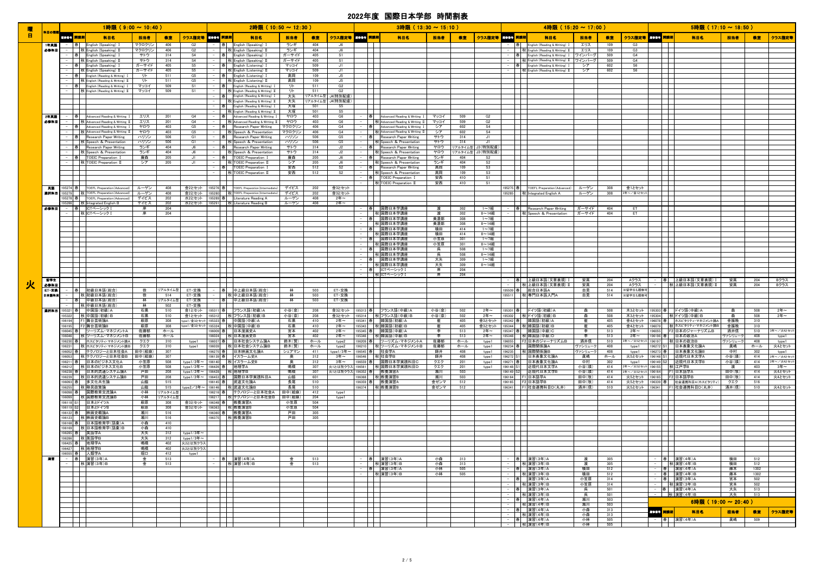| 曤              | 科目の種          |          | 1時限 (9:00~10:40)                                                                                                                                                                                                                               |                  |                |                                      |                    | 2時限 (10:50~12:30)                                                 |                |                    |                                  |   | 3時限 (13:30~15:10)                                                 |                |            |                       |                  | 4時限 (15:20~17:00)                                                   |                    |            |                    |                                      | 5時限 (17:10~18:50)                                  |                    |              |                   |
|----------------|---------------|----------|------------------------------------------------------------------------------------------------------------------------------------------------------------------------------------------------------------------------------------------------|------------------|----------------|--------------------------------------|--------------------|-------------------------------------------------------------------|----------------|--------------------|----------------------------------|---|-------------------------------------------------------------------|----------------|------------|-----------------------|------------------|---------------------------------------------------------------------|--------------------|------------|--------------------|--------------------------------------|----------------------------------------------------|--------------------|--------------|-------------------|
| $\blacksquare$ |               | 風俗音子 開講期 | 科目名                                                                                                                                                                                                                                            | 担当者              | 教室             | クラス指定等                               | 取体番号 開講期           | 科目名                                                               | 担当者            | 教室                 | クラス指定等 風惨骨子 開講期                  |   | 科目名                                                               | 担当者            | 教室         | クラス指定等 取参考 開講期        |                  | 科目名                                                                 | 担当者                | 教室         |                    | クラス指定等 風俗番子 開講期                      | 科目名                                                | 担当者                | 教室           | クラス指定等            |
|                | 1年英語<br>必修科目  | $-$      | - 春 English (Speaking) 1<br>秋 English (Speaking) II                                                                                                                                                                                            | マクロクリン<br>マクロクリン | 406<br>406     | G2<br>G2                             | 春                  | English (Speaking) I<br>秋 English (Speaking) II                   | ランギ<br>ランギ     | 404<br>404         | J6<br>J6                         |   |                                                                   |                |            |                       |                  | English (Reading & Writing) I<br>秋 English (Reading & Writing) II   | エリス<br>エリス         | 109<br>109 | G3<br>G3           |                                      |                                                    |                    |              |                   |
|                |               |          | - 春 English (Speaking) 1<br>  秋 English (Speaking) II                                                                                                                                                                                          | サトウ<br>サトウ       | 314<br>314     | S <sub>4</sub><br>S4                 | -  春               | English (Speaking) I<br>秋 English (Speaking) II                   | ガーサイド<br>ガーサイド | 405<br>405         | S1<br>S1                         |   |                                                                   |                |            |                       |                  | 春 English (Reading & Writing) I<br>秋 English (Reading & Writing) II | フインバーグ<br>フインバーグ   | 509<br>509 | G4<br>G4           |                                      |                                                    |                    |              |                   |
|                |               |          | -  春   English (Speaking) I                                                                                                                                                                                                                    | ガーサイド            | 405            | S5                                   |                    | -  春   English (Listening) I                                      | マッコイ           | 509                | J1                               |   |                                                                   |                |            |                       |                  | 春 English (Reading & Writing) I                                     | シア                 | 602        | S <sub>6</sub>     |                                      |                                                    |                    |              |                   |
|                |               |          | 秋 English (Speaking) II<br>-  春   English (Reading & Writing) I                                                                                                                                                                                | ガーサイド<br>リト      | 405<br>511     | S5<br>G5                             |                    | - 秋 English (Listening) II<br>- 春 English (Listening) I           | マッコイ<br>高岡     | 509<br>109         | J1<br>J5                         |   |                                                                   |                |            |                       |                  | 秋 English (Reading & Writing) II                                    | シア                 | 602        | S6                 |                                      |                                                    |                    |              |                   |
|                |               |          | 秋 English (Reading & Writing) II<br>- 春 English (Reading & Writing) I                                                                                                                                                                          | リト<br>マッコイ       | 511<br>509     | G5<br>S1                             |                    | 秋 English (Listening) II<br>English (Reading & Writing) I         | 高岡<br>リト       | 109<br>511         | $\mathsf{J}5$<br>G2              |   |                                                                   |                |            |                       |                  |                                                                     |                    |            |                    |                                      |                                                    |                    |              |                   |
|                |               |          | - 秋 English (Reading & Writing) II                                                                                                                                                                                                             | マッコイ             | 509            | S1                                   | -  春               | 秋 English (Reading & Writing) II                                  | リト             | 511                | G2                               |   |                                                                   |                |            |                       |                  | $\blacksquare$                                                      |                    |            |                    |                                      |                                                    |                    |              |                   |
|                |               |          |                                                                                                                                                                                                                                                |                  |                |                                      | -  春               | English (Reading & Writing) I<br>秋 English (Reading & Writing) II | 大矢<br>大矢       | リアルタイム型<br>リアルタイム型 | J4(特別配慮)<br>J4(特別配慮)             |   |                                                                   |                |            |                       |                  |                                                                     |                    |            |                    |                                      |                                                    |                    |              |                   |
|                |               |          | <u>a ma</u>                                                                                                                                                                                                                                    |                  |                |                                      |                    | English (Reading & Writing) I<br>秋 English (Reading & Writing) II | 大塚<br>大塚       | 501<br>501         | S5<br>S5                         |   |                                                                   |                |            |                       |                  | $\mathcal{L}$                                                       |                    |            |                    |                                      |                                                    |                    |              |                   |
|                | 2年英語          |          | 春 Advanced Reading & Writing I                                                                                                                                                                                                                 | エリス              | 201            | G4                                   |                    | Advanced Reading & Writing I                                      | ヤロウ            | 403                | G6                               | 春 | Advanced Reading & Writing I                                      | マッコイ           | 509        | G2                    |                  |                                                                     |                    |            |                    |                                      |                                                    |                    |              |                   |
|                | 必修科目          | $\sim$   | 秋 Advanced Reading & Writing II<br>-  春   Advanced Reading & Writing                                                                                                                                                                           | エリス<br>ヤロウ       | 201<br>403     | G4<br>G5                             | - 十春十              | 秋 Advanced Reading & Writing II<br>Research Paper Writing         | ヤロウ<br>マクロクリン  | 403<br>406         | G6<br>G4                         |   | 秋 Advanced Reading & Writing II<br>春 Advanced Reading & Writing I | マッコイ<br>シア     | 509<br>602 | G2<br>S <sub>4</sub>  |                  | $\mathbf{I}$                                                        |                    |            |                    |                                      |                                                    |                    |              |                   |
|                |               |          | 秋 Advanced Reading & Writing II<br>- 春 Research Paper Writing                                                                                                                                                                                  | ヤロウ<br>ハリソン      | 403<br>506     | G5<br>G1                             | 春                  | 秋 Speech & Presentation<br><b>Research Paper Writing</b>          | マクロクリン<br>ハリソン | 406<br>506         | G4<br>G5                         |   | 秋 Advanced Reading & Writing II<br>春 Research Paper Writing       | シア<br>サトウ      | 602<br>314 | S <sub>4</sub><br>J1  |                  |                                                                     |                    |            |                    |                                      |                                                    |                    |              |                   |
|                |               |          | 秋 Speech & Presentation<br>- 春 Research Paper Writing                                                                                                                                                                                          | ハリソン<br>ランギ      | 506<br>404     | G1<br>J6                             | 春                  | 一种<br>Speech & Presentation<br>Research Paper Writing             | ハリソン<br>サトウ    | 506<br>314         | G5<br>J2                         |   | 秋 Speech & Presentation<br>春 Research Paper Writing               | サトウ<br>ヤロウ     | 314        | J1<br>Jアルタイム型 J3(特別配慮 |                  |                                                                     |                    |            |                    |                                      |                                                    |                    |              |                   |
|                |               |          | 秋 Speech & Presentation                                                                                                                                                                                                                        | ランギ              | 404            | J6                                   |                    | Speech & Presentation<br>一秋                                       | サトウ            | 314                | J2                               |   | 秋 Speech & Presentation                                           | ヤロウ            |            | Jアルタイム型 J3(特別配慮       |                  |                                                                     |                    |            |                    |                                      |                                                    |                    |              |                   |
|                |               |          | -  春   TOEIC Preparation I<br>- 秋 TOEIC Preparation II                                                                                                                                                                                         | 廣森<br>シア         | 205<br>205     | J1<br>J1                             | -  春               | TOEIC Preparation I<br>OEIC Preparation II                        | 廣森<br>シア       | 205<br>205         | J6<br>J6                         |   | 春 Research Paper Writing<br>秋 Speech & Presentation               | ランギ<br>ランギ     | 404<br>404 | S2<br>S <sub>2</sub>  |                  |                                                                     |                    |            |                    |                                      |                                                    |                    |              |                   |
|                |               |          |                                                                                                                                                                                                                                                |                  |                |                                      | -  春               | TOEIC Preparation I<br>一种<br>TOEIC Preparation II                 | 安西<br>安西       | 512<br>512         | S <sub>2</sub><br>S <sub>2</sub> |   | 春 Research Paper Writing<br>秋 Speech & Presentation               | 高岡<br>高岡       | 109<br>109 | S3<br>S3              |                  |                                                                     |                    |            |                    |                                      |                                                    |                    |              |                   |
|                |               |          |                                                                                                                                                                                                                                                |                  |                |                                      |                    |                                                                   |                |                    |                                  |   | 春 TOEIC Preparation I                                             | 安西             | 410        | S1                    |                  |                                                                     |                    |            |                    |                                      |                                                    |                    |              |                   |
|                | 美語            |          | 95274 春 TOEFL Preparation (Advanced)                                                                                                                                                                                                           | ルーゲン             | 408            | 金2とセット                               | 95276 春            | <b>TOEFL Preparation (Intermediate)</b>                           | デイビス           | 202                | 金3とセット                           |   | -   秋 TOEIC Preparation II                                        | 安西             | 410        | S1                    |                  | 95275 春   TOEFL Preparation (Advanced)                              | ルーゲン               | 308        | 金1とセット             |                                      |                                                    |                    |              |                   |
|                | 温択科目          |          | 195279 秋 TOEFL Preparation (Advanced)<br>95278 春 TOEFL Preparation (Advanced)                                                                                                                                                                  | ルーゲン<br>デイビス     | 408<br>202     | 金2とセット<br>水2とセット                     | 95280<br>95289 春   | TOEFL Preparation (Intermediate)<br>一利<br>Literature Reading A    | デイビス<br>ルーゲン   | 202<br>408         | 金3とセット<br>2年~                    |   |                                                                   |                |            |                       |                  | 95285 秋 Integrated English A                                        | ルーゲン               | 308        | 2年~/金1とセッ          |                                      |                                                    |                    |              |                   |
|                | も寄草田          |          | 195286   秋 Integrated English B<br>-  春  ICTベーシック I                                                                                                                                                                                            | デイビス<br>崖        | 202<br>204     | 水2とセット                               |                    | 195291 秋 Literature Reading B                                     | ルーゲン           | 408                | 2年~                              |   | $\Box$<br>-  春  国際日本学講座                                           | 渡              | 302        | 1~7組                  |                  | - 春 Research Paper Writing                                          | ガーサイド              | 404        | ET                 |                                      |                                                    |                    |              |                   |
|                |               |          | - 秋ICTベーシック I                                                                                                                                                                                                                                  | 岸                | 204            |                                      |                    |                                                                   |                |                    |                                  |   | - 秋 国際日本学講座                                                       | 渡              | 302        | $8 - 14$ 組            |                  | 秋 Speech & Presentation                                             | ガーサイド              | 404        | ET                 |                                      |                                                    |                    |              |                   |
|                |               |          | $\mathbf{I}$                                                                                                                                                                                                                                   |                  |                |                                      |                    |                                                                   |                |                    |                                  |   | - 春 国際日本学講座<br>  秋  国際日本学講座                                       | 美濃部<br>美濃部     | 308<br>308 | 1~7組<br>8~14組         |                  |                                                                     |                    |            |                    |                                      |                                                    |                    |              |                   |
|                |               |          | an ing Kabupatèn Bag<br>$\mathcal{L}$                                                                                                                                                                                                          |                  |                |                                      |                    |                                                                   |                |                    |                                  |   | - 春 国際日本学講座<br>秋国際日本学講座                                           | 横田<br>横田       | 414<br>414 | 1~7組<br>8~14組         |                  | ┯                                                                   |                    |            |                    |                                      |                                                    |                    |              |                   |
|                |               |          | $\perp$                                                                                                                                                                                                                                        |                  |                |                                      |                    |                                                                   |                |                    |                                  |   | 春 国際日本学講座<br>秋国際日本学講座                                             | 小笠原<br>小笠原     | 301<br>301 | 1~7組<br>$8 - 14$ 組    |                  |                                                                     |                    |            |                    |                                      |                                                    |                    |              |                   |
|                |               |          |                                                                                                                                                                                                                                                |                  |                |                                      |                    |                                                                   |                |                    |                                  |   | 春 国際日本学講座                                                         | 呉              | 508        | 1~7組                  |                  |                                                                     |                    |            |                    |                                      |                                                    |                    |              |                   |
|                |               |          | and the state<br>$\mathbf{I}$                                                                                                                                                                                                                  |                  |                |                                      |                    |                                                                   |                |                    |                                  |   | 秋 国際日本学講座<br>春 国際日本学講座                                            | 呉<br>大矢        | 508<br>309 | $8 - 14$ 組<br>1~7組    |                  | $\mathbf{I}$                                                        |                    |            |                    |                                      |                                                    |                    |              |                   |
|                |               |          | $\mathcal{L}$<br>T                                                                                                                                                                                                                             |                  |                |                                      |                    |                                                                   |                |                    |                                  |   | - 秋国際日本学講座<br> 春  ICTベーシック I                                      | 大矢<br>岸        | 309<br>204 | $8 - 14$ 組            |                  |                                                                     |                    |            |                    |                                      |                                                    |                    |              |                   |
|                | 留学生           |          | $\mathbf{1}$                                                                                                                                                                                                                                   |                  |                |                                      |                    |                                                                   |                |                    |                                  |   | -    秋 ICTベーシック I                                                 | 岸              | 204        |                       |                  | 春  上級日本語(文章表現)                                                      | 安高                 | 204        | Aクラス               |                                      | │春│ │上級日本語(文章表現)Ⅰ │                                | 安高                 | 204          | Bクラス              |
| 火              | 必修科目<br>ET 交换 |          | -  春  初級日本語(総合)                                                                                                                                                                                                                                | 徐                | リアルタイム型        | ET·交換                                | - 十春十              | 中上級日本語(総合)                                                        | 林              | 503                | ET・交換                            |   |                                                                   |                |            |                       |                  | 秋 上級日本語(文章表現)<br>195509 春   総合日本語A                                  | 安高                 | 204<br>514 | Aクラス<br>※留学生も履修    |                                      | ┃ 秋 上級日本語(文章表現)Ⅱ ┃                                 | 安高                 | 204          | Bクラス              |
|                | 日本語科目         | $\sim$   | 秋 初級日本語(総合)                                                                                                                                                                                                                                    | 徐                | 514            | ET·交換                                |                    | 秋 中上級日本語(総合)                                                      | 林              | 503                | ET・交換                            |   |                                                                   |                |            |                       |                  | 195511   秋 専門日本語入門A                                                 | 自見<br>自見           | 514        | ※留学生も履修?           |                                      |                                                    |                    |              |                   |
|                |               |          | 春 中級日本語(総合)<br>- 秋中級日本語(総合                                                                                                                                                                                                                     | 林<br>林           | リアルタイム型<br>502 | ET・交換<br>ET·交換                       | -  春               | 中上級日本語(総合)                                                        | 林              | 503                | ET・交換                            |   |                                                                   |                |            |                       |                  |                                                                     |                    |            |                    |                                      |                                                    |                    |              |                   |
|                | 選択科目          |          | 195321 春 中国語(初級) A<br>95322   秋 中国語(初級)E                                                                                                                                                                                                       | 石黒<br>石黒         | 510<br>510     | 金1とセット<br>金1とセット                     | 95311 春<br>95312   | フランス語(初級)A<br>│秋 フランス語(初級)B                                       | 小谷(奈)<br>小谷(奈) | 208<br>208         | 金3とセット<br>金3とセット                 |   | 195313 春   フランス語 (中級)A<br>195314   秋 フランス語 (中級)B                  | 小谷(奈)<br>小谷(奈) | 502<br>502 | 2年~<br>2年~            |                  | 195301   春   【ドイツ語(初級)A<br>95302 秋ドイツ語(初級)B                         | 森<br>森             | 508<br>508 | 木3とセット<br>木3とセット   | 95303 春                              | ドイツ語(中級)A<br>95304   秋ドイツ語(中級)日                    | 森<br>森             | 508<br>508   | 2年~<br>2年~        |
|                |               |          | 196194   F1 舞台芸術論A                                                                                                                                                                                                                             | 萩原               | 308            | type1/金3とセッ                          |                    | 195323 春 中国語(中級)A                                                 | 石黒             | 410                | 2年~                              |   | 195341 春 韓国語(初級)A                                                 | 崔              | 405        | 金3とセット                |                  | 195342 春 韓国語(初級)A                                                   | 崔                  | 405        | 金4とセット             | 96078  春                             | ホスピタリティ・マネジメント論A                                   | 金振晩                | 310          |                   |
|                |               |          | 196195   F2 舞台芸術論B<br>96045 春 ツーリズム・マネジメントA                                                                                                                                                                                                    | 萩原<br>佐藤郁        | 308<br>ホール     | ype1/金3とセッ                           | 96009 春            | 195324 秋 中国語(中級)B<br>日本漫画史A                                       | 石黒<br>宮本       | 410<br>402         | 2年~<br>2年~                       |   | 195343 秋 韓国語(初級)B<br> 95345  春  韓国語(中級)A                          | 崔<br>李         | 405<br>513 | 金3とセット<br>2年~         |                  | 195344     秋   韓国語(初級) B<br>95347 春 韓国語(中級)C                        | 崔<br>李             | 405<br>513 | 金4とセット<br>2年~      | 196079<br>96055                      | 秋木スピタリティ・マネジメント論B<br>F2 日本のジャーナリズムB                | 金振晚<br>酒井信         | 310<br>510   | 3年~/火4とセット        |
|                |               |          | 96046 秋 ツーリズム・マネジメントB<br>96230 春 ホスピタリティ・マネジメント論A                                                                                                                                                                                              | 佐藤郁<br>クエク       | ホール<br>310     | type1                                | 96024<br>196037 春  | 秋日本漫画史B<br>日本社会システム論A                                             | 宮本<br>鈴木(賢)    | 402<br>ホール         | $24 = -$<br>type2                |   | 195346 秋 韓国語 (中級) B<br>196209 春 ツーリズム・マネジメントA                     | 李<br>佐藤郁       | 513<br>ホール | $24 -$<br>type1       | 195348<br>196055 | 秋 韓国語(中級)D<br>F2 日本のジャーナリズムB                                        | 李<br>酒井信           | 513<br>510 | $2$ 年~<br>3年~/火5とセ | 196196 春<br>196197                   | 日本の政治A<br>秋 日本の政治B                                 | ヴァシリューク<br>ヴァシリューク | 408<br>408   | type1<br>type1    |
|                |               | 96231    | 秋木スピタリティ・マネジメント論B<br>96052 春 テクノロジーと日本社会A                                                                                                                                                                                                      | クエク<br>田中(絵麻)    | 310<br>307     | type1                                | 196039<br>196275 春 | 秋 日本社会システム論B<br>日本映画文化論A                                          | 鈴木(賢)<br>シェアマン | ホール<br>411         | type2<br>type $1/3 = \sim$       |   | 196210 秋ツーリズム・マネジメントB<br>196545 春 杜会学A                            | 佐藤郁<br>師井      | ホール<br>408 | type1<br>type1        | 196235           | 196234 春 国際関係論A<br>秋 国際関係論B                                         | ヴァシリューク<br>ヴァシリューク | 408<br>408 | type1<br>type1     | 96272 S                              | 日本表象文化論A<br>日本表象文化論B                               | 真嶋<br>中村           | ホール<br>302   | 火4とセット<br>type1   |
|                |               |          | 96053 秋 テクノロジーと日本社会B                                                                                                                                                                                                                           | 田中(絵麻)           | 307            |                                      | 96139  春           | イスラーム史A                                                           | 園              | 312                | 3年~                              |   | 196546 秋 社会学B                                                     | 師井             | 408        | type1                 |                  | 196272 S1 日本表象文化論A                                                  | 眞嶋                 | ホール        | 火5とセット             | 196148 S1                            | 近現代日本文学A                                           | 小谷(瑛)              | 414          | 2年~/火4とセット        |
|                |               |          | 96211 春 日本のビジネス文化A<br>96212 秋 日本のビジネス文化B                                                                                                                                                                                                       | 小笠原<br>小笠原       | 508<br>508     | type1/2年~<br>type $1/2$ 年~           | 196140<br>196426 春 | ■秋 イスラーム史B<br>地理学A                                                | 奧<br>鳴橋        | 312<br>307         | $34 -$<br>火1とは別クラス               |   | 96559 春  国際日本学実践科目C<br>196561 秋 国際日本学実践科目D                        | クエク<br>クエク     | 201<br>201 | type1<br>type1        | 96271 春          | 日本表象文化論A<br>196148 S1 近現代日本文学A                                      | 中村<br>小谷(瑛)        | 302<br>414 | type1<br>2年~/火5とセ  | 196149 S<br>96155                    | │近現代日本文学B<br>秋 江戸学B                                | 小谷(瑛)<br>渡         | 414<br>403   | 2年~/火4とセット<br>3年~ |
|                |               |          | 196238 春 日本的流通システム論A<br>96239  秋 日本的流通システム論B                                                                                                                                                                                                   | 戸田<br>戸田         | 208<br>208     | type1/2年~<br>type1/2年~               |                    | 196428 秋 地理学B<br>96453 春  国際日本学実践科日A                              | 鳴橋<br>山脇       | 307<br>601         |                                  |   | 火1とは別クラス 196352 春 教養演習A<br>96368   秋   教養演習B                      | 瀬川<br>瀬川       | 503<br>503 |                       |                  | 196149 S2 近現代日本文学B<br>96164 F1 日本語学A                                | 小谷(瑛)<br>田中(牧)     | 414<br>414 | 2年~/火5とセッ          | 196164<br>火5とセット   196165   F2 日本語学B | F1 日本語学A                                           | 田中(牧)<br>田中(牧)     | 414<br>414   | 火4とセット<br>火4とセット  |
|                |               |          | 96093 春 多文化共生論<br>196255 秋 移民政策論                                                                                                                                                                                                               | 山脇<br>山脇         | 515<br>515     | type $2\angle 34 \sim$               |                    | 196145 春 武道文化論A<br>196146 秋 武道文化論B                                | 長尾<br>長尾       | 510<br>510         |                                  |   | 196359 春 教養演習A<br>196374 秋 教養演習B                                  | 金ゼンマ<br>金ゼンマ   | 512<br>512 |                       |                  | 196165 F2 日本語学B<br>196341     F1 社会連携科目D(丸井)                        | 田中(牧)<br>酒井(信)     | 414<br>510 | 火5とセット<br>火5とセット   |                                      | 196339 春 社会連携科目A(ホスピタリティ)<br>196341 F1 社会連携科目D(丸井) | クエク<br>酒井(信)       | 516<br>510   | 火4とセット            |
|                |               |          | 196098 春 国際教育交流論A                                                                                                                                                                                                                              | 小林               | リアルタイム型        |                                      |                    | 196216 春   テクノロジーと日本社会A   田中(絵麻)                                  |                | 412                | type1                            |   |                                                                   |                |            |                       |                  |                                                                     |                    |            |                    |                                      |                                                    |                    |              |                   |
|                |               |          | 196099   秋 国際教育交流論B<br>196118 S1 日本とドイツA                                                                                                                                                                                                       | 小林<br>萩原         | リアルタイム型<br>308 | 金3とセット                               |                    | 96217    秋 テクノロジーと日本社会B   田中(絵麻)<br>196348 春 教養演習A                | 小笠原            | 204<br>504         | type1                            |   |                                                                   |                |            |                       |                  | $\mathbf{I}$                                                        |                    |            |                    |                                      |                                                    |                    |              |                   |
|                |               |          | 196119 S2 日本とドイツB<br>196122 春   映画史概論A                                                                                                                                                                                                         | 萩原<br>瀬川         | 308<br>516     | 金3とセット                               |                    | 196363 秋 教養演習B<br>196360 春 教養演習A                                  | 小笠原<br>戸田      | 504<br>305         |                                  |   | $\mathbf{I}$                                                      |                |            |                       |                  | $\mathbf{I}$<br>$\mathbf{I}$                                        |                    |            |                    |                                      |                                                    |                    |              |                   |
|                |               |          | 196123 秋 映画史概論B<br>196168 春 日本語教育学(語彙)A                                                                                                                                                                                                        | 瀬川<br>小森         | 516<br>410     |                                      | 196375             | 秋教養演習B                                                            | 戸田             | 305                |                                  |   |                                                                   |                |            |                       |                  | ╂                                                                   |                    |            |                    |                                      |                                                    |                    |              |                   |
|                |               |          | 196169 秋日本語教育学(語彙)B                                                                                                                                                                                                                            | 小森               | 410            |                                      |                    |                                                                   |                |                    |                                  |   |                                                                   |                |            |                       |                  |                                                                     |                    |            |                    |                                      |                                                    |                    |              |                   |
|                |               |          | 196285 春   英語学A<br>196286 秋 英語学B                                                                                                                                                                                                               | 大矢<br>大矢         | 312<br>312     | type $1/3$ 年~<br>type $1/34 \approx$ |                    |                                                                   |                |                    |                                  |   |                                                                   |                |            |                       |                  | $\mathcal{L}_{\rm{max}}$<br>$\mathbf{I}$                            |                    |            |                    |                                      |                                                    |                    |              |                   |
|                |               |          | 196425 春   地理学A<br>196427 秋 地理学B                                                                                                                                                                                                               | 鳴橋<br>鳴橋         | 402<br>402     | 火2とは別クラン<br>火2とは別クラン                 |                    |                                                                   |                |                    |                                  |   | $\mathbf{I}$<br>- 1 - 1                                           |                |            |                       |                  | $\mathbf{I}$<br><b>Contract</b>                                     |                    |            |                    |                                      |                                                    |                    |              |                   |
|                |               |          | 196555 春 人類学A                                                                                                                                                                                                                                  | 堀口               | 412            | type1                                |                    | I I                                                               |                |                    |                                  |   |                                                                   |                |            |                       |                  | ┯                                                                   |                    |            |                    | TТ                                   |                                                    |                    |              |                   |
|                | 演習            |          | - 春 演習(3年)A<br>- 秋演習(3年)B                                                                                                                                                                                                                      | 金<br>金           | 513<br>513     |                                      |                    | 春 演習(4年)A<br>秋 演習(4年) B                                           | ⇔<br>金         | 513<br>513         |                                  |   | - 春 演習(3年)A<br>- 秋演習(3年)B                                         | 小森<br>小森       | 313<br>313 |                       |                  | -  春   演習(3年)A<br>- 秋演習(3年)B                                        | 渡<br>渡             | 305<br>305 |                    |                                      | -  春  演習(4年)A<br>- 秋 演習(4年)B                       | 横田<br>横田           | 512<br>512   |                   |
|                |               |          | $\blacksquare$<br>$\mathbf{1}$                                                                                                                                                                                                                 |                  |                |                                      |                    |                                                                   |                |                    |                                  |   | 春 演習(3年)A<br>   秋 演習(3年)B                                         | 小林<br>小林       | 505<br>505 |                       |                  | - 春 演習(3年)A<br>-    秋 演習(3年)B                                       | 横田<br>横田           | 512<br>512 |                    |                                      | - 春 演習(4年)A<br>- 春 演習(4年)B                         | 藤本<br>藤本           | 1302<br>1302 |                   |
|                |               |          | <b>The Contract of the Contract of the Contract of the Contract of the Contract of the Contract of the Contract of the Contract of the Contract of the Contract of the Contract of the Contract of the Contract of the Contract </b><br>$\Box$ |                  |                |                                      |                    |                                                                   |                |                    |                                  |   | $\Box$                                                            |                |            |                       |                  | - 春 演習(3年)A<br>-   秋 演習(3年)B                                        | 小笠原<br>小笠原         | 314<br>314 |                    |                                      | - 春 演習(3年)A<br>-    秋 演習(3年)B                      | 宮本<br>宮本           | 502<br>502   |                   |
|                |               |          | ┱                                                                                                                                                                                                                                              |                  |                |                                      |                    |                                                                   |                |                    |                                  |   |                                                                   |                |            |                       |                  | - 春 演習(3年)A                                                         | 呉                  | 501<br>501 |                    |                                      | - 春 演習(4年)A                                        | 大矢                 | 513          |                   |
|                |               |          |                                                                                                                                                                                                                                                |                  |                |                                      |                    |                                                                   |                |                    |                                  |   |                                                                   |                |            |                       |                  | - 秋 演習(3年)B<br>- 春 演習(4年)A                                          | 呉<br>瀬川            | 503        |                    |                                      | - 秋 演習(4年)B<br>6時限 (19:00~20:40)                   | 大矢                 | 513          |                   |
|                |               |          | and the state<br><b>Contract Contract Street</b>                                                                                                                                                                                               |                  |                |                                      |                    |                                                                   |                |                    |                                  |   | $\mathbf{I}$                                                      |                |            |                       |                  | -     秋 演習(4年) B<br>- 春 演習(4年)A                                     | 瀬川<br>小森           | 503<br>313 |                    | ■ 第二】 開講期                            | 科目名                                                | 担当者                | 教室           | クラス指定等            |
|                |               |          | <b>TITLE</b><br>$\top$ $\top$                                                                                                                                                                                                                  |                  |                |                                      |                    |                                                                   |                |                    |                                  |   | $\blacksquare$<br><b>TITLE</b>                                    |                |            |                       |                  | -    秋 演習(4年) B<br>- 春 演習(4年)A                                      | 小森<br>小林           | 313<br>505 |                    |                                      | -  春  演習(4年)A                                      | 眞嶋                 | 509          |                   |
|                |               |          | ┯                                                                                                                                                                                                                                              |                  |                |                                      |                    |                                                                   |                |                    |                                  |   | mп                                                                |                |            |                       |                  | - 秋 演習(4年)B                                                         |                    | 小林 505     |                    | T                                    |                                                    |                    |              |                   |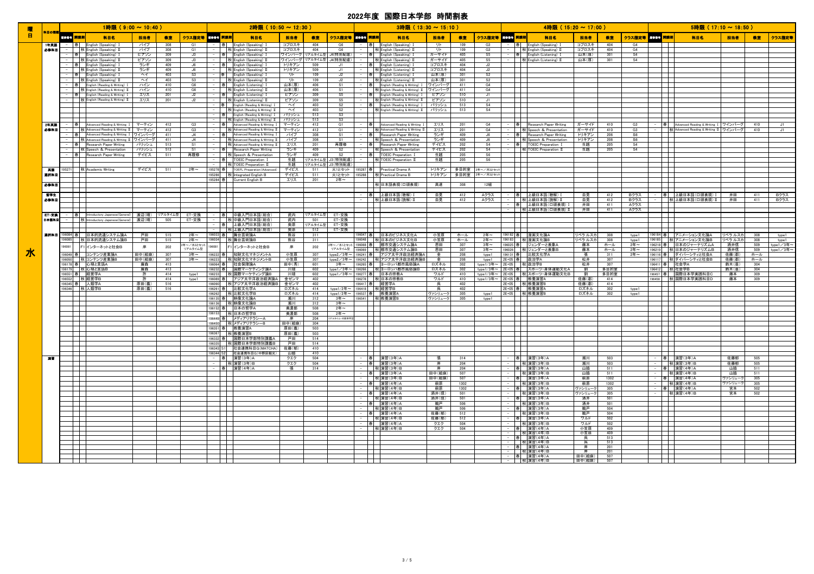|    |              |                       | 1時限 (9:00 ~ 10:40 )                                                       |                                |            |                      |              | $2$ 時限 (10:50 ~ 12:30 )                                                             |                                       |                                        |          | $3$ 時限(13:30 ~ 15:10)                                                     |                |             |                                   |                                                                                                                               |                                                       | $4$ 時限 (15:20 ~ 17:00 ) |              |                                  |                                                                                                                                                                                                                                      | $5$ 時限 (17:10 ~ 18:50)                                                           |                    |            |                    |
|----|--------------|-----------------------|---------------------------------------------------------------------------|--------------------------------|------------|----------------------|--------------|-------------------------------------------------------------------------------------|---------------------------------------|----------------------------------------|----------|---------------------------------------------------------------------------|----------------|-------------|-----------------------------------|-------------------------------------------------------------------------------------------------------------------------------|-------------------------------------------------------|-------------------------|--------------|----------------------------------|--------------------------------------------------------------------------------------------------------------------------------------------------------------------------------------------------------------------------------------|----------------------------------------------------------------------------------|--------------------|------------|--------------------|
| 曜日 | 製画の製         | 風俗愛子 <mark>開講期</mark> | 科目名                                                                       | 担当者                            | 教室         | クラス指定等 黒#骨号 開講期      |              | 科目名                                                                                 | 担当者<br>教室                             | クラス指定等 風惨者 開講期                         |          | 科目名                                                                       | 担当者            | 教室          | クラス指定等 尿### 開講期                   |                                                                                                                               | 科目名                                                   | 担当者                     | 微室           |                                  | クラス指定等 風俗番号 開講期                                                                                                                                                                                                                      | 科目名                                                                              | 担当者                | 教室         | クラス指定等             |
|    | 1年美語         |                       | - 春 English (Speaking) I                                                  | パイプ                            | 308        | G1                   |              | -  春   English (Speaking) I                                                         | コプロスキ<br>404                          | G6                                     |          | English (Speaking) I<br> 春                                                | リト             | 109         | G3                                |                                                                                                                               | 春 English (Speaking) I                                | コプロスキ                   | 404          | G4                               |                                                                                                                                                                                                                                      |                                                                                  |                    |            |                    |
|    | 必修科目         |                       | - 秋 English (Speaking) II                                                 | パイプ                            | 308        | G1                   |              | 秋 English (Speaking) II                                                             | コプロスキ<br>404                          | G6                                     |          | 秋 English (Speaking) II                                                   | リト             | 109         | G3                                |                                                                                                                               | 秋 English (Speaking) II                               | コプロスキ                   | 404          | G4                               |                                                                                                                                                                                                                                      |                                                                                  |                    |            |                    |
|    |              |                       | 春 English (Speaking) I<br>秋 English (Speaking) II                         | ピアソン<br>ピアソン                   | 309<br>309 | J3<br>J3             |              | 春 English (Speaking) I<br>秋 English (Speaking) II                                   | ワインバーグリアルタイム型<br>ワインバーグ<br>リアルタイム型    | J4(特別配慮)<br>J4(特別配慮)                   |          | 春 English (Speaking) I<br>秋 English (Speaking) II                         | ガーサイド<br>ガーサイド | 405<br>405  | S5<br>S5                          |                                                                                                                               | 春 English (Listening) I<br>秋 English (Listening) II   | 山本(厚)<br>山本(厚)          | 301<br>301   | S <sub>4</sub><br>S <sub>4</sub> | $\blacksquare$<br>$\blacksquare$                                                                                                                                                                                                     |                                                                                  |                    |            |                    |
|    |              |                       | - 春 English (Speaking) I                                                  | ランギ                            | 409        | J6                   |              | 春 English (Speaking) I                                                              | 509<br>トリキアン                          | J1                                     |          | - 春 English (Listening) I                                                 | コプロスキ          | 404         | J2                                |                                                                                                                               |                                                       |                         |              |                                  |                                                                                                                                                                                                                                      |                                                                                  |                    |            |                    |
|    |              |                       | 秋 English (Speaking) II                                                   | ランギ                            | 409        | J6                   |              | 秋 English (Speaking) II                                                             | トリキアン<br>509                          | J1                                     |          | 秋 English (Listening) II                                                  | コプロスキ          | 404         | J2                                |                                                                                                                               |                                                       |                         |              |                                  |                                                                                                                                                                                                                                      |                                                                                  |                    |            |                    |
|    |              |                       | -  春   English (Speaking) I<br>- 秋 English (Speaking) II                  | $\sim$ $\sim$<br>$\sim$ $\sim$ | 403<br>403 | S3<br>S3             | $\sim$       | -  春   English (Speaking) I<br>秋 English (Speaking) II                              | リト<br>109<br>リト<br>109                | J2<br>J2                               |          | 春 English (Listening) I<br>秋 English (Listening) II                       | 山本(厚)<br>山本(厚) | 301<br>301  | S <sub>2</sub><br>S <sub>2</sub>  |                                                                                                                               |                                                       |                         |              |                                  |                                                                                                                                                                                                                                      |                                                                                  |                    |            |                    |
|    |              |                       | -  春   English (Reading & Writing) I                                      | ハイン                            | 410        | G6                   |              | -  春   English (Listening) I                                                        | 山本(厚)<br>406                          | S1                                     |          | 春  English (Reading & Writing) I ワインバーク                                   |                | 411         | G4                                | $\mathbf{I}$                                                                                                                  |                                                       |                         |              |                                  | $\blacksquare$                                                                                                                                                                                                                       |                                                                                  |                    |            |                    |
|    |              |                       | -   秋 English (Reading & Writing) II<br>- 春 English (Reading & Writing) I | ハイン<br>エリス                     | 410<br>201 | G6<br>J2             |              | -   秋 English (Listening) II<br>- 春 English (Listening) I                           | 山本(厚)<br>406<br>ピアソン<br>309           | - S1<br>S5                             |          | 秋 English (Reading & Writing) Ⅱ フインバーグ<br>春 English (Reading & Writing) I | ピアソン           | 411<br>510  | G4<br>J1                          | a ka<br><b>The Contract of the Contract of the Contract of the Contract of the Contract of the Contract of the Contract o</b> |                                                       |                         |              |                                  | $\mathbf{1}$<br>$\mathbf{1}$                                                                                                                                                                                                         |                                                                                  |                    |            |                    |
|    |              |                       | -   秋 English (Reading & Writing) II                                      | エリス                            | 201        | J2                   |              | - 秋 English (Listening) II                                                          | ピアソン<br>309                           | S5                                     |          | 秋 English (Reading & Writing) II                                          | ピアソン           | 510         | J1                                | $\mathbf{I}$                                                                                                                  |                                                       |                         |              |                                  | $\mathbf{1}$                                                                                                                                                                                                                         |                                                                                  |                    |            |                    |
|    |              |                       |                                                                           |                                |            |                      |              | - 春 English (Reading & Writing) I<br>-   秋 English (Reading & Writing) II           | $\sim$ $\sim$<br>403<br>$\sim$<br>403 | S <sub>2</sub><br>S <sub>2</sub>       |          | 春 English (Reading & Writing) I<br>秋 English (Reading & Writing) Ⅱ パリッシュ  | パリッシュ          | 513         | S <sub>4</sub><br>S <sub>4</sub>  | <b>The Contract of the Contract of the Contract of the Contract of the Contract of the Contract of the Contract o</b>         |                                                       |                         |              |                                  | $\mathcal{L}$<br>$\mathbf{J}$                                                                                                                                                                                                        |                                                                                  |                    |            |                    |
|    |              |                       |                                                                           |                                |            |                      |              | 春 English (Reading & Writing) I                                                     | パリッシュ<br>513                          | S3                                     |          |                                                                           |                | 513         |                                   |                                                                                                                               |                                                       |                         |              |                                  |                                                                                                                                                                                                                                      |                                                                                  |                    |            |                    |
|    |              |                       | -  春 │ │ Advanced Reading & Writing Ⅰ │ マーティン                             |                                |            |                      |              | 秋 English (Reading & Writing) II                                                    | パリッシュ<br>513                          | S3                                     |          |                                                                           |                |             |                                   |                                                                                                                               |                                                       |                         |              |                                  |                                                                                                                                                                                                                                      |                                                                                  |                    |            |                    |
|    | 2年支票<br>必修科目 |                       | 秋 Advanced Reading & Writing II マーティン                                     |                                | 412<br>412 | G3<br>G3             |              | -  春  Advanced Reading & Writing I   マーティン<br>秋 Advanced Reading & Writing II マーティン | 412<br>412                            | G1<br>G1                               |          | -  春  Advanced Reading & Writing I  <br>秋 Advanced Reading & Writing II   | エリス<br>エリス     | 201<br>201  | G4<br>G4                          |                                                                                                                               | 春   Research Paper Writing<br>秋 Speech & Presentation | ガーサイド<br>ガーサイド          | 410<br>410   | G3<br>G3                         |                                                                                                                                                                                                                                      | 春  Advanced Reading & Writing I ワインバーグ<br>秋 Advanced Reading & Writing II ワインバーグ |                    | 410<br>410 | J1<br>J1           |
|    |              |                       | - 春 Advanced Reading & Writing I ワインバーグ                                   |                                | 411        | J4                   |              | 春 Advanced Reading & Writing I                                                      | パイプ<br>308                            | S1                                     |          | 春 Research Paper Writing                                                  | ランギ            | 409         | J6                                |                                                                                                                               | 春 Research Paper Writing                              | トリキアン                   | 206          | S6                               |                                                                                                                                                                                                                                      |                                                                                  |                    |            |                    |
|    |              |                       | - 秋 Advanced Reading & Writing II ワインバーグ<br>-  春   Research Paper Writing | パリッシュ                          | 411<br>513 | J4<br>S1             |              | 秋 Advanced Reading & Writing II<br>秋 Advanced Reading & Writing II                  | パイプ<br>308<br>エリス<br>201              | S1<br>再履修                              |          | 秋 Speech & Presentation<br>春 Research Paper Writing                       | ランギ<br>デイビス    | 409<br>202  | J6<br>S4                          |                                                                                                                               | 秋 Speech & Presentation<br>春   TOEIC Preparation I    | トリキアン<br>生越             | 208<br>205   | S6<br>S <sub>4</sub>             | - 1<br>$\blacksquare$                                                                                                                                                                                                                |                                                                                  |                    |            |                    |
|    |              |                       | 秋 Speech & Presentation                                                   | パリッシュ                          | 513        | S1                   |              | - 春 Research Paper Writing                                                          | ランギ<br>409                            | S <sub>2</sub>                         |          | 秋 Speech & Presentation                                                   | デイビス           | 202         | S4                                |                                                                                                                               | 秋 TOEIC Preparation II                                | 生越                      | 205          | S <sub>4</sub>                   | $\mathbf{I}$                                                                                                                                                                                                                         |                                                                                  |                    |            |                    |
|    |              |                       | 春 Research Paper Writing                                                  | デイビス                           | 511        | 再履修                  |              | - 秋 Speech & Presentation                                                           | ランギ<br>409<br>リアルタイム型                 | S <sub>2</sub><br>J3(特別配慮              |          | 春 TOEIC Preparation I<br>秋 TOEIC Preparation II                           | 生越             | 205         | S6                                |                                                                                                                               |                                                       |                         |              |                                  | $\Box$                                                                                                                                                                                                                               |                                                                                  |                    |            |                    |
|    |              |                       |                                                                           |                                |            |                      |              | 春   TOEIC Preparation I<br>-   秋 TOEIC Preparation II                               | 生越<br>生越<br>リアルタイム型                   | J3(特別配慮)                               |          |                                                                           | 生越             | 205         | S6                                |                                                                                                                               |                                                       |                         |              |                                  | $\mathbf{I}$                                                                                                                                                                                                                         |                                                                                  |                    |            |                    |
|    | 英語           |                       | 195271 秋 Academic Writing                                                 | デイビス                           | 511        | 2年~                  |              | 195278 春   TOEFL Preparation (Advanced)                                             | デイビス<br>511                           | 火1とセット                                 |          | 195287 春 Practical Drama A                                                | トリキアン          |             | 多目的室 2年~/月3とセッ                    | <b>The Contract of the Contract of the Contract of the Contract of the Contract of the Contract of the Contract o</b>         |                                                       |                         |              |                                  | $\mathbf{I}$                                                                                                                                                                                                                         |                                                                                  |                    |            |                    |
|    | 温沢科目         |                       |                                                                           |                                |            |                      |              | 195286 秋 Integrated English B<br>195284 春 Current English B                         | デイビス<br>511<br>エリス<br>201             | 火1とセット<br>2年~                          |          | 195288 秋 Practical Drama B                                                | トリキアン          | 多目的室        | 2年~/月3とセッ                         |                                                                                                                               |                                                       |                         |              |                                  | $\blacksquare$                                                                                                                                                                                                                       |                                                                                  |                    |            |                    |
|    | 必修科目         |                       |                                                                           |                                |            |                      |              |                                                                                     |                                       |                                        |          | 秋 日本語表現(口頭表現                                                              | 高達             | 308         | 12組                               |                                                                                                                               |                                                       |                         |              |                                  | $\blacksquare$                                                                                                                                                                                                                       |                                                                                  |                    |            |                    |
|    | 留学生          |                       | and the state                                                             |                                |            |                      | $\mathbf{1}$ |                                                                                     |                                       |                                        |          | -  春   上級日本語(聴解) I                                                        | 自見             | 412         | Aクラス                              | $\mathbf{1}$                                                                                                                  | 春  上級日本語(聴解) I                                        | 自見                      | 412          | Bクラス                             | and the state                                                                                                                                                                                                                        | - 春 上級日本語(口頭表現) I                                                                | 井田                 | 411        | Bクラス               |
|    | 必修科目         |                       |                                                                           |                                |            |                      |              |                                                                                     |                                       |                                        |          | 秋 上級日本語(読解) II                                                            | 自見             | 412         | Aクラス                              |                                                                                                                               | 秋 上級日本語(読解)Ⅱ                                          | 自見                      | 412          | Bクラス                             |                                                                                                                                                                                                                                      | ┃秋┃上級日本語(口頭表現)Ⅱ ┃                                                                | 井田                 | 411        | Bクラス               |
|    |              |                       |                                                                           |                                |            |                      |              |                                                                                     |                                       |                                        |          |                                                                           |                |             |                                   |                                                                                                                               | 春 上級日本語(口頭表現)                                         | 井田                      | 411<br>411   | Aクラス<br>Aクラス                     |                                                                                                                                                                                                                                      |                                                                                  |                    |            |                    |
|    | ET·交换        |                       | │春│ │Introductory Japanese(General)│ 渡辺(晴) │リアルタイム型│ ET•交換                |                                |            |                      |              | -  春  中級入門日本語(総合)                                                                   | 武内 リアルタイム型                            | ET・交換                                  |          |                                                                           |                |             |                                   |                                                                                                                               | 秋 上級日本語(口頭表現) II                                      | 井田                      |              |                                  | and the state of the state of the<br>$\mathbf{1}$                                                                                                                                                                                    |                                                                                  |                    |            |                    |
|    | 日本語科目        |                       | 秋 Introductory Japanese(General) 渡辺(晴)                                    |                                | 505        | ET・交換                |              | - ┃ ┃秋┃中級入門日本語(総合)                                                                  | 武内<br>501                             | ET·交換                                  |          |                                                                           |                |             |                                   |                                                                                                                               |                                                       |                         |              |                                  | $\blacksquare$                                                                                                                                                                                                                       |                                                                                  |                    |            |                    |
|    |              |                       |                                                                           |                                |            |                      |              | - 【春】【上級入門日本語(総合)<br>-     秋 上級入門日本語(総合)                                            | 奥原<br>リアルタイム型<br>奧原<br>512            | ET・交換<br>ET·交换                         |          |                                                                           |                |             |                                   | $\mathbf{I}$<br>$\mathbf{r}$                                                                                                  |                                                       |                         |              |                                  | $\blacksquare$<br>$\mathbf{1}$                                                                                                                                                                                                       |                                                                                  |                    |            |                    |
|    |              |                       | <b>選択科目 196084 春 日本的流通システム論A</b>                                          | 戸田                             | 515        | $24 -$               |              | 196033 春 舞台芸術論A                                                                     | 311<br>熊谷                             |                                        | 196047 春 | 日本のビジネス文化A                                                                | 小笠原            | ホール         | 2年~                               |                                                                                                                               | 196182 春 漫画文化論A                                       | リベラ ルスカ                 | 308          | type1                            |                                                                                                                                                                                                                                      | 196184 春   アニメーション文化論A                                                           | リベラルスカ             | 308        | type1              |
|    |              |                       | 196085 秋 日本的流通システム論B                                                      | 戸田                             | 515        | $24 -$               |              | 196034 秋 舞台芸術論B                                                                     | 熊谷<br>311                             |                                        | 196068 春 | 196048 秋日本のビジネス文化B<br>都市交通システム論A                                          | 小笠原<br>恩田      | ホール<br>307  | 2年~<br>3年~                        |                                                                                                                               | 196183 秋 漫画文化論B<br>196025 春   ジェンダーと表象A               | リベラ ルスカ<br>藤本           | 308<br>ホール   | type1<br>2年~                     |                                                                                                                                                                                                                                      | 196185   秋 アニメーション文化論B<br> 96218 春  日本のジャーナリズムA                                  | リベラ ルスカ<br>酒井信     | 308<br>509 | type1<br>type1/3年~ |
| 水  |              | 196081                | F1 インターネットと社会B                                                            | 岸                              | 202        | 2年~/水2とセ:<br>リアルタイム型 | 96081        | F1 インターネットと社会B                                                                      | 岸<br>202                              | 2年~/水1とセット<br>リアルタイム型                  | 196069   | 秋都市交通システム論B                                                               | 恩田             | 307         | 3年~                               |                                                                                                                               | 96026  秋 ジェンダーと表象B                                    | 藤本                      | ホール          | 2年~                              |                                                                                                                                                                                                                                      | 96219   秋 日本のジャーナリズムB                                                            | 酒井信                | 509        | type1/3年~          |
|    |              |                       | 196049 春 コンテンツ産業論A<br>196050 秋 コンテンツ産業論B                                  | 田中(絵麻)<br>田中(絵麻)               | 307<br>307 | $34 -$<br>$34 -$     |              | 196222 春 知財文化マネジメントA<br>196223 秋 知財文化マネジメントB                                        | 小笠原<br>307<br>307                     | type2/3年~<br>type $2\overline{34}$ ~   | 196241 春 | アジア太平洋政治経済論A<br>196242 秋 アジア太平洋政治経済論B                                     | 金              | 208         | type1                             | 2E+05 春 政治学A                                                                                                                  | 196131 春 比較文化学A                                       | 張                       | 311          | 2年~                              |                                                                                                                                                                                                                                      | 196116 春 ダイバーシティと社会A<br>196117 秋 ダイバーシティと社会B                                     | 佐藤(郡)              | ホール<br>ホール |                    |
|    |              |                       | 196178 春 心理と言語A                                                           | 廣森                             | 413        |                      |              | 196064 春 社会保障論A                                                                     | 小笠原<br>田中(秀)<br>601                   | 3年~                                    |          | 196265 春 ヨーロッパ都市風俗論A                                                      | 金<br>ロズネル      | 208<br>302  | type1<br>type $1/34$              | 2E+05 秋 政治学B                                                                                                                  |                                                       | 松井<br>松井                | 307<br>307   |                                  | 196411 春 杜会学A                                                                                                                                                                                                                        |                                                                                  | 佐藤(郡)<br>鈴木(亜)     | 304        |                    |
|    |              |                       | 196179 秋 心理と言語B                                                           | 廣森<br>許                        | 413<br>414 | type1                |              | 196232 春 国際マーケティング論A                                                                | 川端<br>602<br>川端<br>602                | type1 $\angle$ 3年~<br>type $1/34 \sim$ |          | 196266 秋ヨーロッパ都市風俗論B                                                       | ロズネル<br>ワルド    | 302<br>410  | type $1/34$<br>type $1/34$ $\sim$ |                                                                                                                               | 2E+05 春 スポーツ・身体運動文化A<br>2E+05   秋 スポーツ・身体運動文化B        | 劉<br>쬉                  | 多目的室         |                                  | 196412   秋 社会学B                                                                                                                                                                                                                      | 196457   春       国際日本学実践科目C                                                      | 鈴木(亜)<br>藤本        | 304<br>309 |                    |
|    |              |                       | 196551 春   経営学A<br>196552   秋 経営学B                                        | 許                              | 414        | type1                |              | 196233     秋 国際マーケティング論B<br>196089 春   アジア太平洋政治経済論A   金ゼンマ                          | 402                                   |                                        |          | 196277 春 日本の宗教A<br>196278 秋 日本の宗教B                                        | ワルド            | 410         | type1/3年 $\thicksim$              |                                                                                                                               | 2E+05 春 教養演習A                                         | 佐藤(郡)                   | 多目的室<br>414  |                                  |                                                                                                                                                                                                                                      | 196458 秋 国際日本学実践科目D                                                              | 藤本                 | 309        |                    |
|    |              |                       | 96345 春 人類学A<br>96346 秋人類学B                                               | 原田(義)<br>原田(義)                 | 516<br>516 |                      |              | 96090   秋 アジア太平洋政治経済論B   金ゼンマ<br>96261 春 比較文化学A                                     | 402<br>ロズネル<br>414                    | type1/2年·                              |          | 196418 秋 経営学B                                                             | 呉              | 402<br>402  |                                   |                                                                                                                               | 2E+05   秋 教養演習B<br>2E+05 春 教養演習A                      | 佐藤(郡)<br>ロズネル           | 414<br>302   | type1                            | $\mathbf{I}$<br>- 1                                                                                                                                                                                                                  |                                                                                  |                    |            |                    |
|    |              |                       |                                                                           |                                |            |                      |              | 96262 秋 比較文化学B                                                                      | ロズネル<br>414                           | type1/2年~                              |          | 196537 春 教養演習                                                             | ヴァシリュー         | 305         | type1                             |                                                                                                                               | 'E+05 秋 教養演習B                                         | ロズネル                    | 302          | type1                            | $\top$                                                                                                                                                                                                                               |                                                                                  |                    |            |                    |
|    |              |                       | $\mathbf{I}$                                                              |                                |            |                      |              | 196135 春 映像文化論A<br>196136 秋 映像文化論B                                                  | 瀬川<br>312<br>312<br>瀬川                | $34 -$<br>$34 -$                       |          | 196541 秋 教養演習B                                                            | ヴァシリューク        | 305         | type1                             | $\mathbf{I}$                                                                                                                  |                                                       |                         |              |                                  | $\mathbf{1}$<br>$\overline{\phantom{0}}$                                                                                                                                                                                             |                                                                                  |                    |            |                    |
|    |              |                       | $\Box$                                                                    |                                |            |                      |              | 196152 春 日本の哲学A                                                                     | 美濃部<br>508                            | $24 -$                                 |          |                                                                           |                |             |                                   | <b>The Contract of the Contract of the Contract of the Contract of the Contract of the Contract of the Contract o</b>         |                                                       |                         |              |                                  | $\Box$                                                                                                                                                                                                                               |                                                                                  |                    |            |                    |
|    |              |                       |                                                                           |                                |            |                      |              | 96153   秋 日本の哲学B                                                                    | 美濃部<br>508                            | 2年~                                    |          |                                                                           |                |             |                                   |                                                                                                                               |                                                       |                         |              |                                  |                                                                                                                                                                                                                                      |                                                                                  |                    |            |                    |
|    |              |                       |                                                                           |                                |            |                      |              | 96449 春 メディアリテラシーA<br>96450 秋 メディアリテラシーB                                            | 岸<br>204<br>田中(絵麻)<br>304             | アルタイム・対面併用                             |          |                                                                           |                |             |                                   |                                                                                                                               |                                                       |                         |              |                                  | - 1                                                                                                                                                                                                                                  |                                                                                  |                    |            |                    |
|    |              |                       | $\sim$ 1                                                                  |                                |            |                      |              | 96351 春  教養演習A                                                                      | 原田(義)<br>503                          |                                        |          |                                                                           |                |             |                                   |                                                                                                                               |                                                       |                         |              |                                  | $\blacksquare$                                                                                                                                                                                                                       |                                                                                  |                    |            |                    |
|    |              |                       |                                                                           |                                |            |                      |              | 96367 秋 教養演習B<br> 96332 春  国際日本学部特別講義A                                              | 原田(義)<br>503<br>戸田<br>514             |                                        |          |                                                                           |                |             |                                   | $\blacksquare$                                                                                                                |                                                       |                         |              |                                  | - 1<br>$\blacksquare$                                                                                                                                                                                                                |                                                                                  |                    |            |                    |
|    |              |                       |                                                                           |                                |            |                      |              | 96335 秋 国際日本学部特別講義B                                                                 | 戸田<br>514                             |                                        |          |                                                                           |                |             |                                   |                                                                                                                               |                                                       |                         |              |                                  | $\Box$                                                                                                                                                                                                                               |                                                                                  |                    |            |                    |
|    |              |                       |                                                                           |                                |            |                      |              | 196343 S1 杜会連携科目G(MATCHA)<br>196344 S2 社会連携科目G(中野区観光)                               | 佐藤(郁)<br>410<br>410<br>山脇             |                                        |          |                                                                           |                |             |                                   |                                                                                                                               |                                                       |                         |              |                                  | ┑                                                                                                                                                                                                                                    |                                                                                  |                    |            |                    |
|    | 演習           |                       |                                                                           |                                |            |                      |              | - 春 演習(3年)A                                                                         | クエク<br>504                            |                                        |          | │春│ │演習(3年)A                                                              |                | 314         |                                   |                                                                                                                               | 春 演習(3年)A                                             | 瀬川                      | 503          |                                  |                                                                                                                                                                                                                                      | 春 滴習(3年)A                                                                        | 佐藤郁                | 505        |                    |
|    |              |                       |                                                                           |                                |            |                      |              | -   秋 演習(3年)B<br>- 春 演習(4年)A                                                        | クエク<br>504<br>張<br>314                |                                        |          | -  春   演習(3年)A<br>- 秋 演習(3年)B                                             | 岸<br>岸         | 204<br>204  |                                   |                                                                                                                               | 秋 演習(3年)B<br>春 演習(3年)A                                | 瀬川<br>山脇                | 503<br>511   |                                  |                                                                                                                                                                                                                                      | 秋 演習(3年)B<br>- 春 演習(4年)A                                                         | 佐藤郁<br>山脇          | 505<br>511 |                    |
|    |              |                       |                                                                           |                                |            |                      |              |                                                                                     |                                       |                                        |          | 春  演習(3年)A                                                                | 田中(絵麻)         | 507         |                                   |                                                                                                                               | 秋 演習(3年)B                                             | 山脇                      | 511          |                                  |                                                                                                                                                                                                                                      | 秋 演習(4年)B                                                                        | 山脇                 | 511        |                    |
|    |              |                       | $\mathcal{L}$                                                             |                                |            |                      | $\mathbf{I}$ |                                                                                     |                                       |                                        |          | 秋 演習(3年)B<br>- 春 演習(4年)A                                                  | 田中(絵麻)<br>萩原   | 507<br>1302 |                                   |                                                                                                                               | 春 演習(3年)A<br>秋 演習(3年)B                                | 萩原<br>萩原                | 1302<br>1302 |                                  |                                                                                                                                                                                                                                      | 春   演習(4年)A<br>-   秋 演習(4年)B                                                     | ヴァシリューク<br>ヴァシリューク | 305<br>305 |                    |
|    |              |                       | <b>Contract</b>                                                           |                                |            |                      | $\mathbf{I}$ |                                                                                     |                                       |                                        |          | - 秋 演習(4年)B                                                               | 萩原             | 1302        |                                   |                                                                                                                               | - 春 演習(3年)A                                           | ヴァシリューク                 | 305          |                                  |                                                                                                                                                                                                                                      | - 春 演習(4年)A                                                                      | 宮本                 | 502        |                    |
|    |              |                       | ·丁·                                                                       |                                |            |                      |              |                                                                                     |                                       |                                        |          | - 春 演習(4年)A                                                               | 酒井(信)          | 501         |                                   |                                                                                                                               | - 秋演習(3年)B<br>春 演習(3年)A                               | ヴァシリューク                 | 305          |                                  |                                                                                                                                                                                                                                      | - 秋 演習(4年)B                                                                      | 宮本                 | 502        |                    |
|    |              |                       |                                                                           |                                |            |                      |              |                                                                                     |                                       |                                        |          | 秋 演習(4年)B<br>- 春 演習(4年)A                                                  | 酒井(信)<br>鵝戸    | 501<br>506  |                                   |                                                                                                                               | 秋 演習(3年)B                                             | 酒井<br>酒井                | 501<br>501   |                                  |                                                                                                                                                                                                                                      |                                                                                  |                    |            |                    |
|    |              |                       |                                                                           |                                |            |                      |              |                                                                                     |                                       |                                        |          | - 秋 演習(4年)B                                                               | 鵜戸             | 506         |                                   |                                                                                                                               | 春 演習(3年)A                                             | 鵜戸                      | 504          |                                  | $\mathbf{1}$                                                                                                                                                                                                                         |                                                                                  |                    |            |                    |
|    |              |                       | $\mathbf{r}$                                                              |                                |            |                      |              |                                                                                     |                                       |                                        |          | - 春 演習(4年)A<br>-   秋 演習 (4年) B                                            | 佐藤(郁)<br>佐藤(郁) | 512<br>512  |                                   |                                                                                                                               | 秋 演習(3年)B<br>春 演習(3年)A                                | 鵜戸<br>ワルド               | 504<br>502   |                                  | $\blacksquare$                                                                                                                                                                                                                       |                                                                                  |                    |            |                    |
|    |              |                       | $\mathcal{L}$                                                             |                                |            |                      | $\sim$       |                                                                                     |                                       |                                        |          | - 春 演習(4年)A                                                               | クエク            | 504         |                                   |                                                                                                                               | -     秋 瀋習(3年)B                                       | ワルド                     | 502          |                                  | a kara                                                                                                                                                                                                                               |                                                                                  |                    |            |                    |
|    |              |                       | $\mathbf{1}$<br>$\mathbf{I}$                                              |                                |            |                      |              | $\mathbf{I}$<br>$\mathbf{I}$                                                        |                                       |                                        |          | -    秋 演習(4年)B<br>and the state of the state of the                       | クエク            | 504         |                                   |                                                                                                                               | - 春 滴習(4年)A<br>-     秋 演習(4年)B                        | 小笠原<br>小笠原              | 409<br>409   |                                  | <b>The Contract of the Contract of the Contract of the Contract of the Contract of the Contract of the Contract of the Contract of the Contract of the Contract of the Contract of the Contract of the Contract of the Contract </b> |                                                                                  |                    |            |                    |
|    |              |                       | $\mathcal{L}$                                                             |                                |            |                      |              |                                                                                     |                                       |                                        |          |                                                                           |                |             |                                   |                                                                                                                               | 春 演習(4年)A                                             |                         | 513          |                                  | ╂                                                                                                                                                                                                                                    |                                                                                  |                    |            |                    |
|    |              |                       | <b>Contract</b><br>$\mathbf{I}$                                           |                                |            |                      |              | $\sim$ 1.<br>$\mathbf{r}$                                                           |                                       |                                        |          |                                                                           |                |             |                                   |                                                                                                                               | 秋 演習(4年)B<br> 春  演習(4年)A                              | 岸                       | 513<br>201   |                                  | a Tan                                                                                                                                                                                                                                |                                                                                  |                    |            |                    |
|    |              |                       | $\mathbf{r}$                                                              |                                |            |                      |              | $\sim$ 1.                                                                           |                                       |                                        |          |                                                                           |                |             |                                   |                                                                                                                               | -   秋 演習(4年)B                                         | 岸                       | 201          |                                  | a Tan                                                                                                                                                                                                                                |                                                                                  |                    |            |                    |
|    |              |                       | $\mathbf{I}$<br>$\blacksquare$                                            |                                |            |                      |              | . .                                                                                 |                                       |                                        |          |                                                                           |                |             |                                   |                                                                                                                               | 春 演習(4年)A<br>-   秋 演習(4年)B                            | 田中(絵麻)<br>  田中(絵麻)  507 | 507          |                                  | $\mathcal{L}$<br>.                                                                                                                                                                                                                   |                                                                                  |                    |            |                    |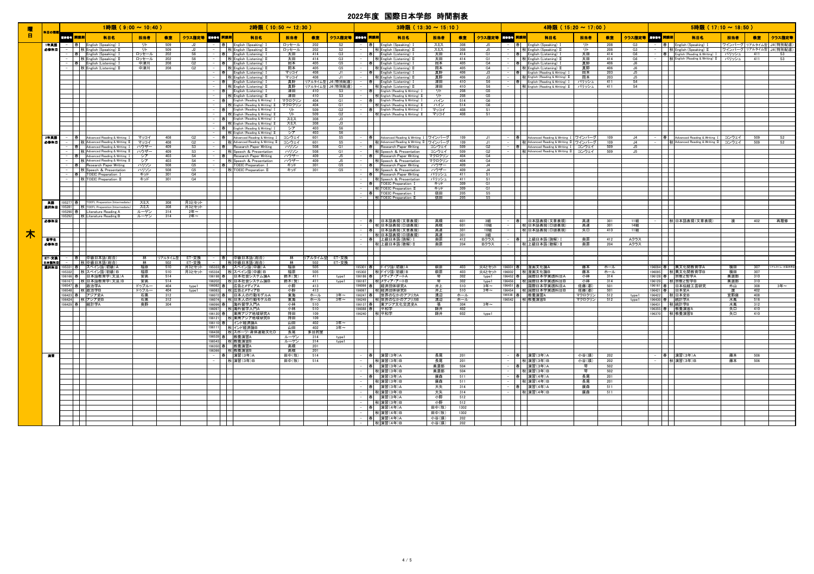| 曜              |             | 1時限(9:00 ~ 10:40)                                                                     |              |            |                                          |         | $2$ 時限 (10:50 ~ 12:30)                                                                    |                |                |                      |                          | $3$ 時限 (13:30 ~ 15:10)                                                                                          |                  |            |                 |        | $4$ 時限 (15:20 ~ 17:00)                                                                    |                  |            |                             |          | $5$ 時限 (17:10 ~ 18:50)                                                            |            |            |                                |
|----------------|-------------|---------------------------------------------------------------------------------------|--------------|------------|------------------------------------------|---------|-------------------------------------------------------------------------------------------|----------------|----------------|----------------------|--------------------------|-----------------------------------------------------------------------------------------------------------------|------------------|------------|-----------------|--------|-------------------------------------------------------------------------------------------|------------------|------------|-----------------------------|----------|-----------------------------------------------------------------------------------|------------|------------|--------------------------------|
| $\blacksquare$ | 科目の種類       | 「風景」。 開講期<br>科目名                                                                      | 担当者          | 教室         | クラス指定等 黒鉄骨 開講期                           |         | 科目名                                                                                       | 担当者            | 教室             |                      | クラス指定等 風惨骨子 開講期          | 科目名                                                                                                             | 担当者              | 教室         | クラス指定等 ままま 開講期  |        | 科目名                                                                                       | 担当者              | 教室         | クラス指定等 風景子 開講期              |          | 科目名                                                                               | 担当者        | 教室         | クラス指定等                         |
|                | 1年英語        | English (Speaking)                                                                    | リト           | 509        |                                          |         | 春 English (Speaking) I                                                                    | ロッセール          | 202            | S <sub>2</sub>       | 春                        | English (Speaking) I                                                                                            | スミス              | 308        |                 |        | English (Speaking) 1                                                                      | ग्रा             | 208        | G3                          |          | English (Speaking) I                                                              |            |            | ワインバーグ リアルタイム型 J4(特別配慮)        |
|                | 必修科目        | 秋 English (Speaking) I<br>春 English (Speaking)                                        | リト<br>ロッセール  | 509<br>202 | <b>J2</b><br>S6                          |         | 秋 English (Speaking) II                                                                   | ロッセール<br>太田    | 202<br>414     | S <sub>2</sub><br>G3 |                          | 秋 English (Speaking) I                                                                                          | スミス              | 308<br>414 | J5<br>G1        |        | 秋 English (Speaking) II                                                                   | 开<br>太田          | 208<br>414 | G3<br>G6                    |          | 秋 English (Speaking) II<br> 春  English (Reading & Writing) I パリッシュ                |            | 411        | ワインバーグ リアルタイム型 J4 (特別配慮)<br>S3 |
|                |             | - 秋 English (Speaking) II                                                             | ロッセール<br>中津川 | 202        | S6<br>G2                                 |         | 春 English (Listening) I<br>秋 English (Listening) II                                       | 太田<br>岡本       | 414<br>405     | G3<br>G5             |                          | - 春 English (Listening)<br>- 秋 English (Listening) I                                                            | 太田太田<br>岡本       | 414<br>405 | G1<br>G4        |        | 春 English (Listening) I<br>秋 English (Listening) II                                       | 太田               | 414<br>406 | G6<br>J6                    |          | -   秋 English (Reading & Writing) II パリッシュ                                        |            | 411        | S3                             |
|                |             | - 春 English (Listening) I<br>-   秋 English (Listening) II                             | 中津川          | 208<br>208 | G2                                       |         | 春 English (Listening) I<br>秋 English (Listening) II                                       | 岡本             | 405            | G5                   |                          | - 春 English (Listening) I<br>-   秋 English (Listening) II                                                       | 圖本               | 405        | G4              |        | 春 English (Listening) I<br>秋 English (Listening) II                                       | 真野<br>真野         | 406        | J6                          |          |                                                                                   |            |            |                                |
|                |             |                                                                                       |              |            |                                          |         | 春 English (Listening) I                                                                   | マッコイ<br>マッコイ   | 408<br>408     | J1                   | 春                        | English (Listening) I                                                                                           | 真野               | 406<br>406 | J3<br>J3        |        | English (Reading & Writing) I                                                             | 圖本<br>岡本         | 203        | J5                          |          | ┰                                                                                 |            |            |                                |
|                |             |                                                                                       |              |            |                                          |         | 秋 English (Listening) II<br>春 English (Listening)                                         | 真野             | リアルタイム型        | J4 (特別配慮)            | 春                        | 秋 English (Listening) II<br>English (Listening)                                                                 | 真野<br>津田         | 410        | S6              |        | 秋 English (Reading & Writing) II<br>春 English (Reading & Writing) I                       | パリッシュ            | 203<br>411 | <u>J5</u><br>S <sub>4</sub> |          |                                                                                   |            |            |                                |
|                |             |                                                                                       |              |            |                                          |         | 秋 English (Listening) II                                                                  | 直野<br>津田       | リアルタイム型<br>410 | J4(特別配慮<br>S3        | 春                        | 秋 English (Listening) II<br>English (Reading & Writing) I                                                       | 津田<br>リト         | 410<br>208 | S6<br>G5        |        | 秋 English (Reading & Writing) II                                                          | <u>パリッシュ</u>     | 411        | S <sub>4</sub>              |          |                                                                                   |            |            |                                |
|                |             |                                                                                       |              |            |                                          |         | 春 English (Listening) I<br>  秋 English (Listening) II                                     | 津田             | 410            | S3                   |                          | 秋 English (Reading & Writing) II                                                                                | ゠                | 208        | G5              |        |                                                                                           |                  |            |                             |          | $\mathbf{I}$                                                                      |            |            |                                |
|                |             |                                                                                       |              |            |                                          |         | - 春 English (Reading & Writing) I マクロクリン<br> 秋 English (Reading & Writing) I マクロクリン       |                | 404<br>404     | G1<br>G <sub>1</sub> | - 春                      | English (Reading & Writing) I<br>秋 English (Reading & Writing) II                                               | ハイン<br>ハイン       | 514<br>514 | G6<br>G6        |        |                                                                                           |                  |            |                             |          | $\mathbf{I}$                                                                      |            |            |                                |
|                |             |                                                                                       |              |            |                                          |         | 春 English (Reading & Writing) I<br>秋 English (Reading & Writing) II                       | リト             | 509            | G2                   | 春                        | English (Reading & Writing) I                                                                                   | マッコイ             | 408        | $\overline{S1}$ |        |                                                                                           |                  |            |                             |          | ┯                                                                                 |            |            |                                |
|                |             |                                                                                       |              |            |                                          |         | - 春 English (Reading & Writing) I                                                         | ᆕ<br>スミス       | 509<br>308     | G2<br>J3             |                          | 秋 English (Reading & Writing) II                                                                                | マッコイ             | 408        | S1              |        |                                                                                           |                  |            |                             |          |                                                                                   |            |            |                                |
|                |             |                                                                                       |              |            |                                          |         | 秋 English (Reading & Writing) II                                                          | スミス            | 308            | J3                   |                          |                                                                                                                 |                  |            |                 |        |                                                                                           |                  |            |                             |          |                                                                                   |            |            |                                |
|                |             |                                                                                       |              |            |                                          |         | - 春 English (Reading & Writing) I<br>秋 English (Reading & Writing) II                     | シア<br>シア       | 403<br>403     | S6<br>S6             |                          |                                                                                                                 |                  |            |                 |        |                                                                                           |                  |            |                             |          | $\overline{\phantom{0}}$                                                          |            |            |                                |
|                | 2年英語        | - 春 - Advanced Reading & Writing I - マッコイ<br>- 秋 Advanced Reading & Writing II - マッコイ |              | 408        | G2                                       |         | │春│ │ Advanced Reading & Writing Ⅰ │ コンウェイ<br>│ │ 秋│ Advanced Reading & Writing Ⅱ │ コンウェイ |                | 601            | S5                   |                          | Advanced Reading & Writing I ワインバーク                                                                             |                  | 109        |                 |        | │春│ │Advanced Reading & Writing Ⅰ │ワインバーグ│<br>│ │ 秋│Advanced Reading & Writing Ⅱ │ワインバーグ│ |                  | 109        | <u>لەل</u>                  |          | 春 Advanced Reading & Writing I コンウェイ  <br>  秋 Advanced Reading & Writing II コンウェイ |            | 509        |                                |
|                | 必修科目        | 春  Advanced Reading & Writing I ハウザー                                                  |              | 408<br>409 | G <sub>2</sub><br>S3                     |         | 春 Research Paper Writing                                                                  | ハリソン           | 601<br>508     | S5<br>G1             |                          | - 春 Advanced Reading & writing 1 ワインバーグ<br>- 秋 Advanced Reading & Writing II ワインバーグ<br>春 Research Paper Writing | コンウェイ            | 109<br>509 | J1<br>G2        |        | 春 Advanced Reading & Writing I コンウェイ                                                      |                  | 109<br>509 | J4<br>J5                    |          | $\mathbf{I}$                                                                      |            | 509        | $rac{S2}{S2}$                  |
|                |             | 秋 Advanced Reading & Writing II ハウザー                                                  |              | 409        | S3                                       |         | 秋 Speech & Presentation                                                                   | ハリソン           | 508            | G1                   |                          | 秋 Speech & Presentation                                                                                         | コンウェイ            | 509        | G2              |        | 秋 Advanced Reading & Writing Ⅱ コンウェイ                                                      |                  | 509        | J5                          |          | $\mathbf{I}$                                                                      |            |            |                                |
|                |             | Advanced Reading & Writing I<br>-   秋 Advanced Reading & Writing II                   | シア<br>シア     | 403<br>403 | S <sub>4</sub><br>$\overline{\text{S4}}$ |         | Research Paper Writing<br>  秋  Speech & Presentation                                      | ハウザ<br>ハウザー    | 409<br>409     | J5<br>J5             |                          | Research Paper Writing<br>秋 Speech & Presentation                                                               | マクロクリン<br>マクロクリン | 404<br>404 | G4<br>G4        |        |                                                                                           |                  |            |                             |          | ┯                                                                                 |            |            |                                |
|                |             | 春 Research Paper Writing                                                              | │ ハリソン       | 508        | G5                                       |         | 春   TOEIC Preparation I                                                                   | キッド            | 301            | G5                   | 春                        | Research Paper Writing                                                                                          | ハウザー             | 409        | J4              |        |                                                                                           |                  |            |                             |          | $\Box$                                                                            |            |            |                                |
|                |             | 秋 Speech & Presentation<br>- 春 TOEIC Preparation I                                    | ハリソン<br>キッド  | 508<br>301 | G5<br>G4                                 |         | <b>权 TOEIC Preparation II</b>                                                             | キッド            | 301            | G5                   |                          | -   秋 Speech & Presentation<br>- 春 Research Paner Writing<br>Research Paper Writing                             | ハウザー<br>パリッシュ    | 409<br>411 | J4<br>S1        |        |                                                                                           |                  |            |                             |          |                                                                                   |            |            |                                |
|                |             | - 秋 TOEIC Preparation II                                                              | キッド          | 301        | G4                                       |         |                                                                                           |                |                |                      |                          | 秋 Speech & Presentation                                                                                         | パリッシュ            | 411        | S1              |        |                                                                                           |                  |            |                             |          |                                                                                   |            |            |                                |
|                |             |                                                                                       |              |            |                                          |         | $\sim$                                                                                    |                |                |                      | 一春                       | TOEIC Preparation I<br>TOEIC Preparation I                                                                      | キッド<br>キッド       | 309<br>309 | G1<br>G1        |        |                                                                                           |                  |            |                             |          | $\overline{\phantom{a}}$                                                          |            |            |                                |
|                |             |                                                                                       |              |            |                                          |         | $\mathbb{R}$                                                                              |                |                |                      |                          | - 春 TOEIC Preparation I                                                                                         | 依田               | 205        | S5              |        |                                                                                           |                  |            |                             |          | ┯┯                                                                                |            |            |                                |
|                | 花眼          | 195277 春 TOEFL Preparation (Intermediate)                                             | スミス          | 308        | 月3とセット                                   |         | <b>The Contract of the Contract of the Contract</b>                                       |                |                |                      |                          | <b>TH</b> 秋 TOEIC Preparation II                                                                                | 依田               | 205        | S5              |        | $\mathcal{L}_{\mathcal{A}}$                                                               |                  |            |                             |          | <b>TIM</b>                                                                        |            |            |                                |
|                | 通択科目        | 195281 秋 TOEFL Preparation (Intermediate)                                             | スミス          | 308        | 月3とセット                                   |         | $\overline{\phantom{0}}$                                                                  |                |                |                      |                          |                                                                                                                 |                  |            |                 |        |                                                                                           |                  |            |                             |          | $\overline{\phantom{0}}$                                                          |            |            |                                |
|                |             | 195290 春 Literature Reading A<br>195292 秋 Literature Reading B                        | ルーゲン<br>ルーゲン | 314<br>314 | $24 = -$<br>$2$ 年~                       |         | $\sim$ 10 $\pm$<br>$\mathcal{L}(\mathcal{L})$                                             |                |                |                      |                          |                                                                                                                 |                  |            |                 |        |                                                                                           |                  |            |                             |          | $\Box$<br>┯                                                                       |            |            |                                |
|                | 必修科目        |                                                                                       |              |            |                                          |         | $\overline{\phantom{a}}$                                                                  |                |                |                      | 春                        | 日本語表現(文章表現)                                                                                                     | 高橋               | 601        | 3組              |        | 春  日本語表現(文章表現)                                                                            | 高達               | - 301      | 11組                         |          | 秋 日本語表現(文章表現)                                                                     | 渡          | 402        | 再履修                            |
|                |             |                                                                                       |              |            |                                          |         | $\sim 10^{-1}$                                                                            |                |                |                      | 春                        | 秋 日本語表現(口頭表現)<br>日本語表現(文章表現)                                                                                    | 高橋<br>高達         | 601<br>301 | 10組<br>10組      |        | 秋 日本語表現(口頭表現)<br>  秋 日本語表現(口頭表現)                                                          | 高達<br>矢口         | 301<br>410 | 14組<br>11組                  |          | $\blacksquare$                                                                    |            |            |                                |
| 木              |             |                                                                                       |              |            |                                          |         |                                                                                           |                |                |                      |                          | 秋 日本語表現(口頭表現)                                                                                                   | 高達               | 301        | 3組              |        |                                                                                           |                  |            |                             |          |                                                                                   |            |            |                                |
|                | 电传真<br>必修科目 |                                                                                       |              |            |                                          |         |                                                                                           |                |                |                      |                          | ——春——上級日本語(読解) Ⅰ<br>———秋 上級日本語(聴解) Ⅱ                                                                            | <u> 奥原</u><br>奥原 | 412<br>204 | Bクラス<br>Bクラス    |        | <u>│春││上級日本語(読解)Ⅰ</u><br>│││秋│上級日本語(聴解)Ⅱ                                                  | <u> 奥原</u><br>奥原 | 412<br>204 | Aクラス<br>Aクラス                |          |                                                                                   |            |            |                                |
|                |             |                                                                                       |              |            |                                          |         |                                                                                           |                |                |                      |                          |                                                                                                                 |                  |            |                 |        |                                                                                           |                  |            |                             |          |                                                                                   |            |            |                                |
|                | ET·交换       | _ <del>_  春   中級日本語(総合)</del><br>__     秋   中級日本語(総合)                                 |              | リアルタイム型    | ET・交換                                    |         | 春  中級日本語(総合)                                                                              |                |                | リアルタイム型 ET・交換        |                          |                                                                                                                 |                  |            |                 |        |                                                                                           |                  |            |                             |          |                                                                                   |            |            |                                |
|                | 日本語科目       | <b>選択科目 195331 春 スペイン語(初級)A</b>                                                       | 林<br>福原      | 502<br>510 | ET·交換                                    |         | - 秋中級日本語(総合)<br>月3とセット 195333 春 スペイン語(中級)A                                                | 林<br>福原        | 505            | 502 ET·交換            |                          | 95301 春 ドイツ語(初級)A                                                                                               | 萩原               | 403        | 火4とセット          |        | 96001 春 漫画文化論A                                                                            | 藤本               | ホール        |                             |          | 96094  春      異文化間教育学A                                                            | 構田         | 307        | リアルタイム·対面併用型                   |
|                |             | 195332 秋 スペイン語(初級)B<br>196166 春 日本語教育学(文法)A                                           |              | 510        | <u>月3とセット</u>                            |         | 195334 秋 スペイン語(中級)B<br>196198 春 日本社会システム論A                                                | 福原             | 505            |                      |                          | 195302 秋ドイツ語(初級)B<br>196186 春 メディア・アートA                                                                         |                  | 403        | <u>火4とセット</u>   |        | <u>196002   秋 漫画文化論B<br/>196452 春   国際日本学実践科目A</u>                                        | 藤本               | ホール        |                             |          | 196095 秋 異文化間教育学B<br>196128 春 宗教と哲学A                                              | 橫田         | 307        |                                |
|                |             | 196167 秋 日本語教育学(文法)B                                                                  | 安高<br>安高     | 514<br>514 |                                          |         | 196202 秋日本社会システム論B                                                                        | 鈴木(賢)<br>鈴木(賢) | 411<br>411     | type1<br>type1       |                          | 196187 秋 メディア・アートB                                                                                              | 琴<br>茎           | 302<br>302 | type1<br>type1  |        | 196456 秋 国際日本学実践科目B                                                                       | 小林<br>小林         | 314<br>314 |                             |          | 196129   秋 宗教と哲学B                                                                 | 美濃部<br>美濃部 | 310<br>310 |                                |
|                |             | 196547 春 政治学A                                                                         | ドゥブルー        | 404        | type1                                    |         | 196082 春 広告とメディアA<br>196083 秋 広告とメディアB                                                    | 小野             | 413            |                      |                          | 196066 春 経済団体研究A                                                                                                | #F               | 510        | $3$ 年~          |        | 196451 春 国際日本学実践科目A                                                                       | 佐藤(郡)            | 501        |                             |          | 196161 春 日本伝統工芸研究                                                                 | 外山         | 308        | $34 -$                         |
|                |             | 196548<br>秋 政治学B<br>196423 春 アジア史A                                                    | ドゥブルー<br>石黒  | 404<br>312 | type1                                    |         | 196072 春 日本人の行動モデルA                                                                       | 小野<br>東海       | 413<br>ホール     | 3年~                  | 196067<br>196247 春       | 秋 経済団体研究B<br>世界のなかのアフリカA                                                                                        | #<br>溝辺          | 510<br>ホール | 3年~             | 196454 | 秋 国際日本学実践科目B<br>96538 春 教養演習A                                                             | 佐藤(郡)<br>マクロクリン  | 501<br>512 | type1                       | 196421 春 | 日本史A<br>196422 秋 日本史B                                                             | 宜野座        | 402<br>408 |                                |
|                |             | 196424 秋 アジア史B                                                                        | 石黒           | 312        |                                          |         | 196074 秋 日本人の行動モデルB                                                                       | 東海             | ホール            | 3年~                  |                          | <u>196249 秋 世界のなかのアフリカB<br/>196137 春 東アジア文化交流史A</u>                                                             | 溝辺               | ホール        |                 |        | 196542 秋 教養演習B                                                                            | マクロクリン           | 512        | type1                       |          | 196430 春 統計学A                                                                     | 水嶌         | 516        |                                |
|                |             |                                                                                       | 奥野           | 304        |                                          |         | 196096 春 海外留学入門A<br>196097 秋海外留学入門A                                                       | 小林<br>小林       | 510<br>510     |                      | 196137 春<br>196088 春 平和学 |                                                                                                                 | 師井               | 304<br>402 | $34 -$          |        |                                                                                           |                  |            |                             |          | 96431 秋統計学B<br>196355 春 教養演習A                                                     | 水嶌<br>矢口   | 312<br>410 |                                |
|                |             |                                                                                       |              |            |                                          |         | 196120 春 東南アジア地域研究A                                                                       | 持田             | 109            |                      | 196240 秋平和学              |                                                                                                                 | 師井               | 602        | type1           |        |                                                                                           |                  |            |                             |          | 196370 秋 教養演習B                                                                    | 矢口         | 410        |                                |
|                |             |                                                                                       |              |            |                                          | 96110 春 | 196121 秋 東南アジア地域研究B<br>インド経済論A                                                            | 持田<br>旨        | 109<br>402     | 3年~                  |                          |                                                                                                                 |                  |            |                 |        |                                                                                           |                  |            |                             |          |                                                                                   |            |            |                                |
|                |             |                                                                                       |              |            |                                          |         | 196111   秋 インド経済論B                                                                        | 山田             | 402            | $34 -$               |                          |                                                                                                                 |                  |            |                 |        |                                                                                           |                  |            |                             |          | П                                                                                 |            |            |                                |
|                |             |                                                                                       |              |            |                                          |         | 196438   秋 スポーツ・身体運動文化D                                                                   | 長尾<br>ルーゲン     | 多目的室<br>314    | type1                |                          |                                                                                                                 |                  |            |                 |        |                                                                                           |                  |            |                             |          | $\blacksquare$                                                                    |            |            |                                |
|                |             |                                                                                       |              |            |                                          |         | 196539 春 教養演習A<br>196543 秋 教養演習B                                                          | ルーゲン           | 314            | type1                |                          |                                                                                                                 |                  |            |                 |        |                                                                                           |                  |            |                             |          | ᅮ                                                                                 |            |            |                                |
|                |             |                                                                                       |              |            |                                          |         | 196350 春 教養演習A<br>196366 秋 教養演習B                                                          | 高橋<br>高橋       | 201<br>201     |                      |                          |                                                                                                                 |                  |            |                 |        |                                                                                           |                  |            |                             |          |                                                                                   |            |            |                                |
|                | 清雪          |                                                                                       |              |            |                                          |         | - 春 演習(3年)A                                                                               | 田中(牧)          | 514            |                      | 春                        | 演習(3年)A                                                                                                         | 長尾               | 201        |                 |        | 春 演習(3年)A                                                                                 | 小谷(瑾)            | 202        |                             |          | -  春  演習(3年)A                                                                     | 藤本         | 506        |                                |
|                |             |                                                                                       |              |            |                                          |         | 秋 演習(3年)B                                                                                 | 田中(牧)          | 514            |                      | 春                        | (演習(3年)B<br>演習(3年)A                                                                                             | 長尾<br>美濃部        | 201<br>504 |                 |        | 秋 演習(3年)B<br>演習(3年)A                                                                      | 小谷(瑛)<br>琴       | 202<br>502 |                             |          | 秋 瀋習(3年)B                                                                         | 藤本         | 506        |                                |
|                |             |                                                                                       |              |            |                                          |         |                                                                                           |                |                |                      |                          | 秋 演習(3年)B                                                                                                       | 美濃部              | 504        |                 |        | 秋 演習(3年)B                                                                                 | 圣                | 502        |                             |          |                                                                                   |            |            |                                |
|                |             |                                                                                       |              |            |                                          |         |                                                                                           |                |                |                      |                          | - 春 演習(3年)A                                                                                                     | 廣森               | 511        |                 |        | 春<br>演習(4年)A                                                                              | 長尾               | 201        |                             |          | $\blacksquare$                                                                    |            |            |                                |
|                |             |                                                                                       |              |            |                                          |         | $\mathbf{1}$                                                                              |                |                |                      |                          | - 秋渡習(3年)B<br>- 春 演習(3年)A                                                                                       | 廣森<br>大矢         | 511<br>314 |                 |        | 秋 演習(4年)B<br>- 春 演習(4年)A                                                                  | 長尾<br>廣森         | 201<br>511 |                             |          |                                                                                   |            |            |                                |
|                |             |                                                                                       |              |            |                                          |         |                                                                                           |                |                |                      |                          | - 秋 演習(3年)B                                                                                                     | 大矢               | 314        |                 |        | 秋 演習(4年)B                                                                                 | 廣森               | 511        |                             |          | $\mathbf{I}$                                                                      |            |            |                                |
|                |             |                                                                                       |              |            |                                          |         |                                                                                           |                |                |                      |                          | - 春 演習(3年)A<br>  秋 演習(3年)B                                                                                      | 小野<br>小野         | 512<br>512 |                 |        |                                                                                           |                  |            |                             |          |                                                                                   |            |            |                                |
|                |             |                                                                                       |              |            |                                          |         |                                                                                           |                |                |                      |                          | 春 演習(4年)A                                                                                                       | 田中(牧)            | 1302       |                 |        |                                                                                           |                  |            |                             |          |                                                                                   |            |            |                                |
|                |             |                                                                                       |              |            |                                          |         |                                                                                           |                |                |                      |                          | -   秋 演習(4年) B                                                                                                  | 田中(牧)            | 1302       |                 |        |                                                                                           |                  |            |                             |          |                                                                                   |            |            |                                |
|                |             |                                                                                       |              |            |                                          |         |                                                                                           |                |                |                      |                          | - 春 演習(4年)A<br>- 秋滴習(4年)B                                                                                       | 小谷(瑛)<br>小谷(瑛)   | 202<br>202 |                 |        |                                                                                           |                  |            |                             |          |                                                                                   |            |            |                                |